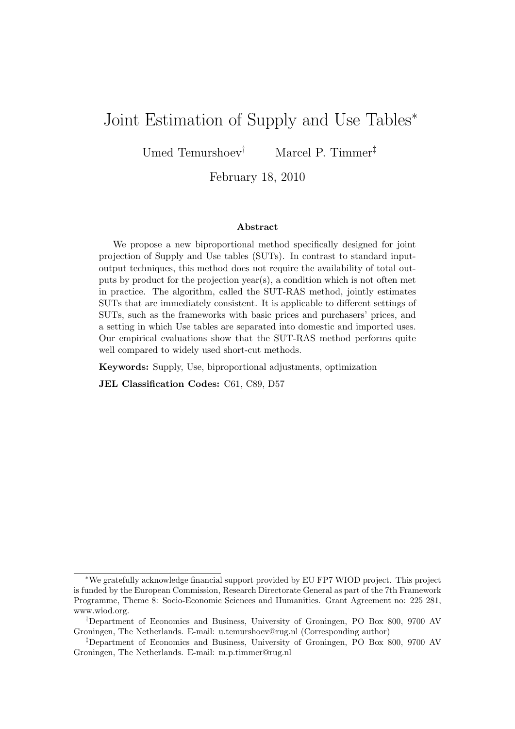## Joint Estimation of Supply and Use Tables<sup>∗</sup>

Umed Temurshoev† Marcel P. Timmer‡

February 18, 2010

#### Abstract

We propose a new biproportional method specifically designed for joint projection of Supply and Use tables (SUTs). In contrast to standard inputoutput techniques, this method does not require the availability of total outputs by product for the projection year(s), a condition which is not often met in practice. The algorithm, called the SUT-RAS method, jointly estimates SUTs that are immediately consistent. It is applicable to different settings of SUTs, such as the frameworks with basic prices and purchasers' prices, and a setting in which Use tables are separated into domestic and imported uses. Our empirical evaluations show that the SUT-RAS method performs quite well compared to widely used short-cut methods.

Keywords: Supply, Use, biproportional adjustments, optimization

JEL Classification Codes: C61, C89, D57

<sup>∗</sup>We gratefully acknowledge financial support provided by EU FP7 WIOD project. This project is funded by the European Commission, Research Directorate General as part of the 7th Framework Programme, Theme 8: Socio-Economic Sciences and Humanities. Grant Agreement no: 225 281, www.wiod.org.

<sup>†</sup>Department of Economics and Business, University of Groningen, PO Box 800, 9700 AV Groningen, The Netherlands. E-mail: u.temurshoev@rug.nl (Corresponding author)

<sup>‡</sup>Department of Economics and Business, University of Groningen, PO Box 800, 9700 AV Groningen, The Netherlands. E-mail: m.p.timmer@rug.nl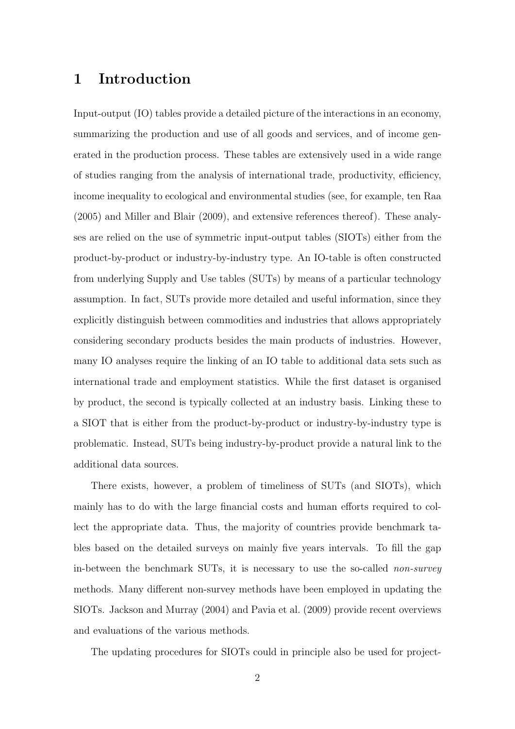### 1 Introduction

Input-output (IO) tables provide a detailed picture of the interactions in an economy, summarizing the production and use of all goods and services, and of income generated in the production process. These tables are extensively used in a wide range of studies ranging from the analysis of international trade, productivity, efficiency, income inequality to ecological and environmental studies (see, for example, ten Raa (2005) and Miller and Blair (2009), and extensive references thereof). These analyses are relied on the use of symmetric input-output tables (SIOTs) either from the product-by-product or industry-by-industry type. An IO-table is often constructed from underlying Supply and Use tables (SUTs) by means of a particular technology assumption. In fact, SUTs provide more detailed and useful information, since they explicitly distinguish between commodities and industries that allows appropriately considering secondary products besides the main products of industries. However, many IO analyses require the linking of an IO table to additional data sets such as international trade and employment statistics. While the first dataset is organised by product, the second is typically collected at an industry basis. Linking these to a SIOT that is either from the product-by-product or industry-by-industry type is problematic. Instead, SUTs being industry-by-product provide a natural link to the additional data sources.

There exists, however, a problem of timeliness of SUTs (and SIOTs), which mainly has to do with the large financial costs and human efforts required to collect the appropriate data. Thus, the majority of countries provide benchmark tables based on the detailed surveys on mainly five years intervals. To fill the gap in-between the benchmark SUTs, it is necessary to use the so-called non-survey methods. Many different non-survey methods have been employed in updating the SIOTs. Jackson and Murray (2004) and Pavia et al. (2009) provide recent overviews and evaluations of the various methods.

The updating procedures for SIOTs could in principle also be used for project-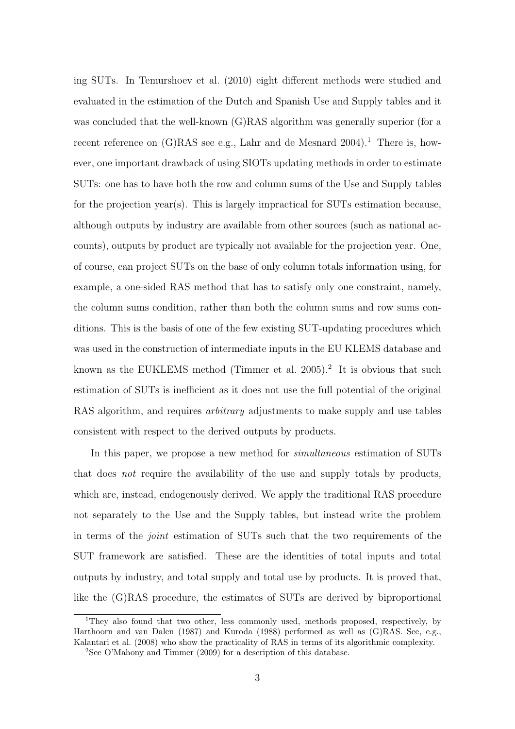ing SUTs. In Temurshoev et al. (2010) eight different methods were studied and evaluated in the estimation of the Dutch and Spanish Use and Supply tables and it was concluded that the well-known (G)RAS algorithm was generally superior (for a recent reference on  $(G)$ RAS see e.g., Lahr and de Mesnard 2004).<sup>1</sup> There is, however, one important drawback of using SIOTs updating methods in order to estimate SUTs: one has to have both the row and column sums of the Use and Supply tables for the projection year(s). This is largely impractical for SUTs estimation because, although outputs by industry are available from other sources (such as national accounts), outputs by product are typically not available for the projection year. One, of course, can project SUTs on the base of only column totals information using, for example, a one-sided RAS method that has to satisfy only one constraint, namely, the column sums condition, rather than both the column sums and row sums conditions. This is the basis of one of the few existing SUT-updating procedures which was used in the construction of intermediate inputs in the EU KLEMS database and known as the EUKLEMS method (Timmer et al.  $2005$ ).<sup>2</sup> It is obvious that such estimation of SUTs is inefficient as it does not use the full potential of the original RAS algorithm, and requires *arbitrary* adjustments to make supply and use tables consistent with respect to the derived outputs by products.

In this paper, we propose a new method for *simultaneous* estimation of SUTs that does not require the availability of the use and supply totals by products, which are, instead, endogenously derived. We apply the traditional RAS procedure not separately to the Use and the Supply tables, but instead write the problem in terms of the joint estimation of SUTs such that the two requirements of the SUT framework are satisfied. These are the identities of total inputs and total outputs by industry, and total supply and total use by products. It is proved that, like the (G)RAS procedure, the estimates of SUTs are derived by biproportional

<sup>1</sup>They also found that two other, less commonly used, methods proposed, respectively, by Harthoorn and van Dalen (1987) and Kuroda (1988) performed as well as (G)RAS. See, e.g., Kalantari et al. (2008) who show the practicality of RAS in terms of its algorithmic complexity.

<sup>2</sup>See O'Mahony and Timmer (2009) for a description of this database.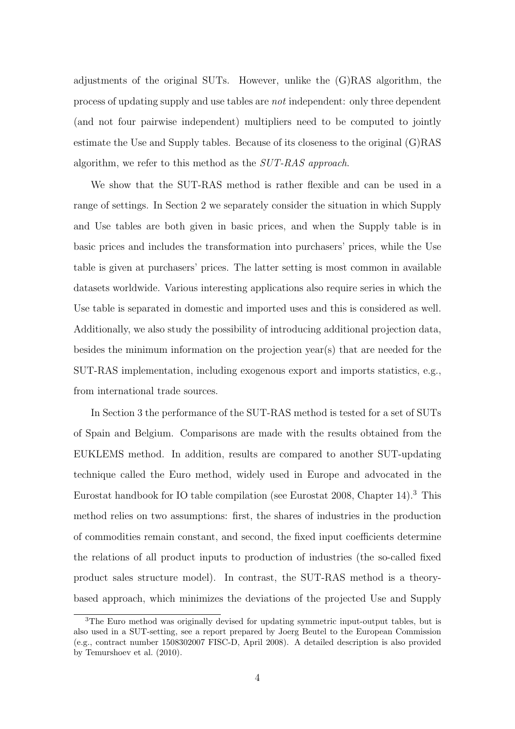adjustments of the original SUTs. However, unlike the (G)RAS algorithm, the process of updating supply and use tables are not independent: only three dependent (and not four pairwise independent) multipliers need to be computed to jointly estimate the Use and Supply tables. Because of its closeness to the original (G)RAS algorithm, we refer to this method as the SUT-RAS approach.

We show that the SUT-RAS method is rather flexible and can be used in a range of settings. In Section 2 we separately consider the situation in which Supply and Use tables are both given in basic prices, and when the Supply table is in basic prices and includes the transformation into purchasers' prices, while the Use table is given at purchasers' prices. The latter setting is most common in available datasets worldwide. Various interesting applications also require series in which the Use table is separated in domestic and imported uses and this is considered as well. Additionally, we also study the possibility of introducing additional projection data, besides the minimum information on the projection year(s) that are needed for the SUT-RAS implementation, including exogenous export and imports statistics, e.g., from international trade sources.

In Section 3 the performance of the SUT-RAS method is tested for a set of SUTs of Spain and Belgium. Comparisons are made with the results obtained from the EUKLEMS method. In addition, results are compared to another SUT-updating technique called the Euro method, widely used in Europe and advocated in the Eurostat handbook for IO table compilation (see Eurostat 2008, Chapter 14).<sup>3</sup> This method relies on two assumptions: first, the shares of industries in the production of commodities remain constant, and second, the fixed input coefficients determine the relations of all product inputs to production of industries (the so-called fixed product sales structure model). In contrast, the SUT-RAS method is a theorybased approach, which minimizes the deviations of the projected Use and Supply

<sup>3</sup>The Euro method was originally devised for updating symmetric input-output tables, but is also used in a SUT-setting, see a report prepared by Joerg Beutel to the European Commission (e.g., contract number 1508302007 FISC-D, April 2008). A detailed description is also provided by Temurshoev et al. (2010).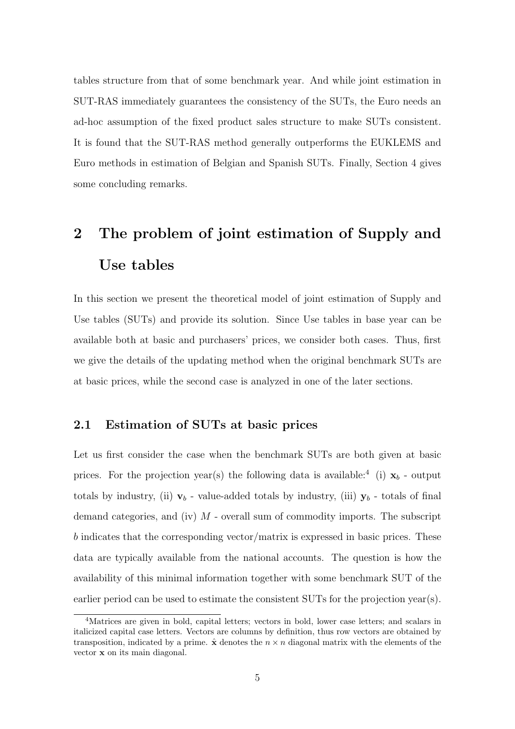tables structure from that of some benchmark year. And while joint estimation in SUT-RAS immediately guarantees the consistency of the SUTs, the Euro needs an ad-hoc assumption of the fixed product sales structure to make SUTs consistent. It is found that the SUT-RAS method generally outperforms the EUKLEMS and Euro methods in estimation of Belgian and Spanish SUTs. Finally, Section 4 gives some concluding remarks.

# 2 The problem of joint estimation of Supply and Use tables

In this section we present the theoretical model of joint estimation of Supply and Use tables (SUTs) and provide its solution. Since Use tables in base year can be available both at basic and purchasers' prices, we consider both cases. Thus, first we give the details of the updating method when the original benchmark SUTs are at basic prices, while the second case is analyzed in one of the later sections.

### 2.1 Estimation of SUTs at basic prices

Let us first consider the case when the benchmark SUTs are both given at basic prices. For the projection year(s) the following data is available:<sup>4</sup> (i)  $x_b$  - output totals by industry, (ii)  $v_b$  - value-added totals by industry, (iii)  $y_b$  - totals of final demand categories, and (iv)  $M$  - overall sum of commodity imports. The subscript b indicates that the corresponding vector/matrix is expressed in basic prices. These data are typically available from the national accounts. The question is how the availability of this minimal information together with some benchmark SUT of the earlier period can be used to estimate the consistent SUTs for the projection year(s).

<sup>4</sup>Matrices are given in bold, capital letters; vectors in bold, lower case letters; and scalars in italicized capital case letters. Vectors are columns by definition, thus row vectors are obtained by transposition, indicated by a prime.  $\hat{\mathbf{x}}$  denotes the  $n \times n$  diagonal matrix with the elements of the vector x on its main diagonal.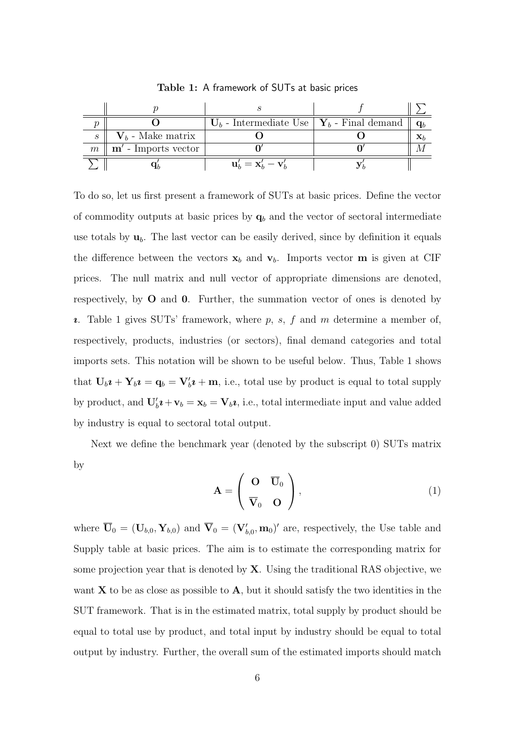|                   |                       | $U_b$ - Intermediate Use   $Y_b$ - Final demand |  |
|-------------------|-----------------------|-------------------------------------------------|--|
| $\mathcal{S}_{0}$ | $V_b$ - Make matrix   |                                                 |  |
| $m\,$             | $m'$ - Imports vector |                                                 |  |
|                   |                       | $\mathbf{u}'_k = \mathbf{x}'_k - \mathbf{v}'_k$ |  |

Table 1: A framework of SUTs at basic prices

To do so, let us first present a framework of SUTs at basic prices. Define the vector of commodity outputs at basic prices by  $q_b$  and the vector of sectoral intermediate use totals by  $\mathbf{u}_b$ . The last vector can be easily derived, since by definition it equals the difference between the vectors  $x_b$  and  $v_b$ . Imports vector **m** is given at CIF prices. The null matrix and null vector of appropriate dimensions are denoted, respectively, by O and 0. Further, the summation vector of ones is denoted by  $\iota$ . Table 1 gives SUTs' framework, where  $p, s, f$  and  $m$  determine a member of, respectively, products, industries (or sectors), final demand categories and total imports sets. This notation will be shown to be useful below. Thus, Table 1 shows that  $U_b \mathbf{i} + \mathbf{Y}_b \mathbf{i} = \mathbf{q}_b = \mathbf{V}_b' \mathbf{i} + \mathbf{m}$ , i.e., total use by product is equal to total supply by product, and  $\mathbf{U}_b' \mathbf{i} + \mathbf{v}_b = \mathbf{x}_b = \mathbf{V}_b \mathbf{i}$ , i.e., total intermediate input and value added by industry is equal to sectoral total output.

Next we define the benchmark year (denoted by the subscript 0) SUTs matrix by

$$
\mathbf{A} = \left( \begin{array}{cc} \mathbf{O} & \overline{\mathbf{U}}_0 \\ \overline{\mathbf{V}}_0 & \mathbf{O} \end{array} \right), \tag{1}
$$

where  $\overline{U}_0 = (U_{b,0}, Y_{b,0})$  and  $\overline{V}_0 = (V'_{b,0}, m_0)'$  are, respectively, the Use table and Supply table at basic prices. The aim is to estimate the corresponding matrix for some projection year that is denoted by  $X$ . Using the traditional RAS objective, we want  $X$  to be as close as possible to  $A$ , but it should satisfy the two identities in the SUT framework. That is in the estimated matrix, total supply by product should be equal to total use by product, and total input by industry should be equal to total output by industry. Further, the overall sum of the estimated imports should match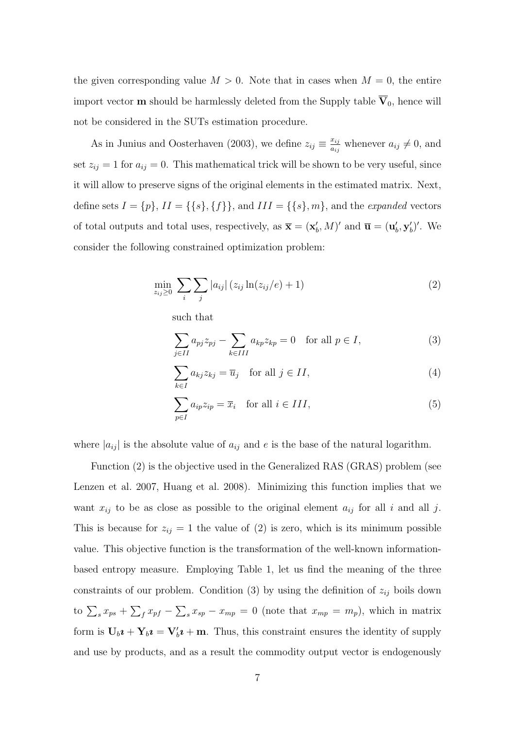the given corresponding value  $M > 0$ . Note that in cases when  $M = 0$ , the entire import vector **m** should be harmlessly deleted from the Supply table  $\overline{V}_0$ , hence will not be considered in the SUTs estimation procedure.

As in Junius and Oosterhaven (2003), we define  $z_{ij} \equiv \frac{x_{ij}}{a_{ij}}$  $\frac{x_{ij}}{a_{ij}}$  whenever  $a_{ij} \neq 0$ , and set  $z_{ij} = 1$  for  $a_{ij} = 0$ . This mathematical trick will be shown to be very useful, since it will allow to preserve signs of the original elements in the estimated matrix. Next, define sets  $I = \{p\}, II = \{\{s\}, \{f\}\},\$  and  $III = \{\{s\}, m\},\$  and the expanded vectors of total outputs and total uses, respectively, as  $\overline{\mathbf{x}} = (\mathbf{x}'_b, M)'$  and  $\overline{\mathbf{u}} = (\mathbf{u}'_b, \mathbf{y}'_b)'$ . We consider the following constrained optimization problem:

$$
\min_{z_{ij}\geq 0} \sum_{i} \sum_{j} |a_{ij}| (z_{ij} \ln(z_{ij}/e) + 1)
$$
 (2)

such that

$$
\sum_{j \in II} a_{pj} z_{pj} - \sum_{k \in III} a_{kp} z_{kp} = 0 \quad \text{for all } p \in I,
$$
 (3)

$$
\sum_{k \in I} a_{kj} z_{kj} = \overline{u}_j \quad \text{for all } j \in II,
$$
\n(4)

$$
\sum_{p \in I} a_{ip} z_{ip} = \overline{x}_i \quad \text{for all } i \in III,
$$
\n(5)

where  $|a_{ij}|$  is the absolute value of  $a_{ij}$  and e is the base of the natural logarithm.

Function (2) is the objective used in the Generalized RAS (GRAS) problem (see Lenzen et al. 2007, Huang et al. 2008). Minimizing this function implies that we want  $x_{ij}$  to be as close as possible to the original element  $a_{ij}$  for all i and all j. This is because for  $z_{ij} = 1$  the value of (2) is zero, which is its minimum possible value. This objective function is the transformation of the well-known informationbased entropy measure. Employing Table 1, let us find the meaning of the three constraints of our problem. Condition  $(3)$  by using the definition of  $z_{ij}$  boils down to  $\sum_{s} x_{ps} + \sum_{f} x_{pf} - \sum_{s} x_{sp} - x_{mp} = 0$  (note that  $x_{mp} = m_p$ ), which in matrix form is  $U_b \mathbf{i} + \mathbf{Y}_b \mathbf{i} = \mathbf{V}'_b \mathbf{i} + \mathbf{m}$ . Thus, this constraint ensures the identity of supply and use by products, and as a result the commodity output vector is endogenously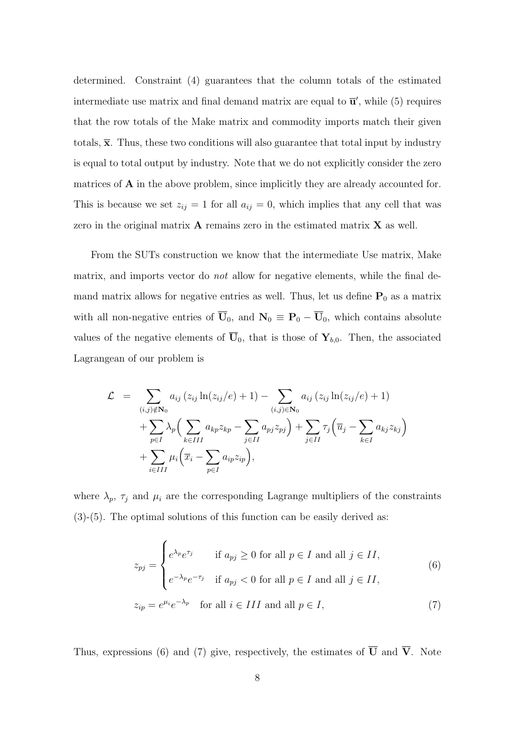determined. Constraint (4) guarantees that the column totals of the estimated intermediate use matrix and final demand matrix are equal to  $\overline{\mathbf{u}}'$ , while (5) requires that the row totals of the Make matrix and commodity imports match their given totals,  $\bar{x}$ . Thus, these two conditions will also guarantee that total input by industry is equal to total output by industry. Note that we do not explicitly consider the zero matrices of **A** in the above problem, since implicitly they are already accounted for. This is because we set  $z_{ij} = 1$  for all  $a_{ij} = 0$ , which implies that any cell that was zero in the original matrix  $\bf{A}$  remains zero in the estimated matrix  $\bf{X}$  as well.

From the SUTs construction we know that the intermediate Use matrix, Make matrix, and imports vector do *not* allow for negative elements, while the final demand matrix allows for negative entries as well. Thus, let us define  $P_0$  as a matrix with all non-negative entries of  $\overline{U}_0$ , and  $N_0 \equiv P_0 - \overline{U}_0$ , which contains absolute values of the negative elements of  $\overline{U}_0$ , that is those of  $Y_{b,0}$ . Then, the associated Lagrangean of our problem is

$$
\mathcal{L} = \sum_{(i,j)\notin\mathbf{N}_0} a_{ij} (z_{ij} \ln(z_{ij}/e) + 1) - \sum_{(i,j)\in\mathbf{N}_0} a_{ij} (z_{ij} \ln(z_{ij}/e) + 1) \n+ \sum_{p\in I} \lambda_p \Big( \sum_{k\in III} a_{kp} z_{kp} - \sum_{j\in II} a_{pj} z_{pj} \Big) + \sum_{j\in II} \tau_j \Big( \overline{u}_j - \sum_{k\in I} a_{kj} z_{kj} \Big) \n+ \sum_{i\in III} \mu_i \Big( \overline{x}_i - \sum_{p\in I} a_{ip} z_{ip} \Big),
$$

where  $\lambda_p$ ,  $\tau_j$  and  $\mu_i$  are the corresponding Lagrange multipliers of the constraints  $(3)-(5)$ . The optimal solutions of this function can be easily derived as:

$$
z_{pj} = \begin{cases} e^{\lambda_p} e^{\tau_j} & \text{if } a_{pj} \ge 0 \text{ for all } p \in I \text{ and all } j \in II, \\ e^{-\lambda_p} e^{-\tau_j} & \text{if } a_{pj} < 0 \text{ for all } p \in I \text{ and all } j \in II, \end{cases}
$$
  

$$
z_{ip} = e^{\mu_i} e^{-\lambda_p} \text{ for all } i \in III \text{ and all } p \in I,
$$
 (7)

Thus, expressions (6) and (7) give, respectively, the estimates of  $\overline{U}$  and  $\overline{V}$ . Note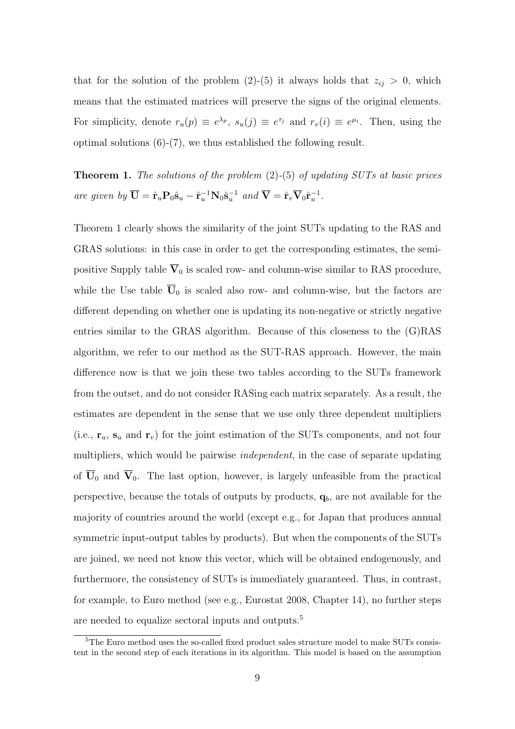that for the solution of the problem (2)-(5) it always holds that  $z_{ij} > 0$ , which means that the estimated matrices will preserve the signs of the original elements. For simplicity, denote  $r_u(p) \equiv e^{\lambda_p}$ ,  $s_u(j) \equiv e^{\tau_j}$  and  $r_v(i) \equiv e^{\mu_i}$ . Then, using the optimal solutions (6)-(7), we thus established the following result.

**Theorem 1.** The solutions of the problem  $(2)$ - $(5)$  of updating SUTs at basic prices are given by  $\overline{\mathbf{U}} = \hat{\mathbf{r}}_u \mathbf{P}_0 \hat{\mathbf{s}}_u - \hat{\mathbf{r}}_u^{-1} \mathbf{N}_0 \hat{\mathbf{s}}_u^{-1}$  and  $\overline{\mathbf{V}} = \hat{\mathbf{r}}_v \overline{\mathbf{V}}_0 \hat{\mathbf{r}}_u^{-1}$ .

Theorem 1 clearly shows the similarity of the joint SUTs updating to the RAS and GRAS solutions: in this case in order to get the corresponding estimates, the semipositive Supply table  $\overline{V}_0$  is scaled row- and column-wise similar to RAS procedure, while the Use table  $\overline{U}_0$  is scaled also row- and column-wise, but the factors are different depending on whether one is updating its non-negative or strictly negative entries similar to the GRAS algorithm. Because of this closeness to the (G)RAS algorithm, we refer to our method as the SUT-RAS approach. However, the main difference now is that we join these two tables according to the SUTs framework from the outset, and do not consider RASing each matrix separately. As a result, the estimates are dependent in the sense that we use only three dependent multipliers (i.e.,  $\mathbf{r}_u$ ,  $\mathbf{s}_u$  and  $\mathbf{r}_v$ ) for the joint estimation of the SUTs components, and not four multipliers, which would be pairwise *independent*, in the case of separate updating of  $\overline{U}_0$  and  $\overline{V}_0$ . The last option, however, is largely unfeasible from the practical perspective, because the totals of outputs by products,  $q_b$ , are not available for the majority of countries around the world (except e.g., for Japan that produces annual symmetric input-output tables by products). But when the components of the SUTs are joined, we need not know this vector, which will be obtained endogenously, and furthermore, the consistency of SUTs is immediately guaranteed. Thus, in contrast, for example, to Euro method (see e.g., Eurostat 2008, Chapter 14), no further steps are needed to equalize sectoral inputs and outputs.<sup>5</sup>

<sup>&</sup>lt;sup>5</sup>The Euro method uses the so-called fixed product sales structure model to make SUTs consistent in the second step of each iterations in its algorithm. This model is based on the assumption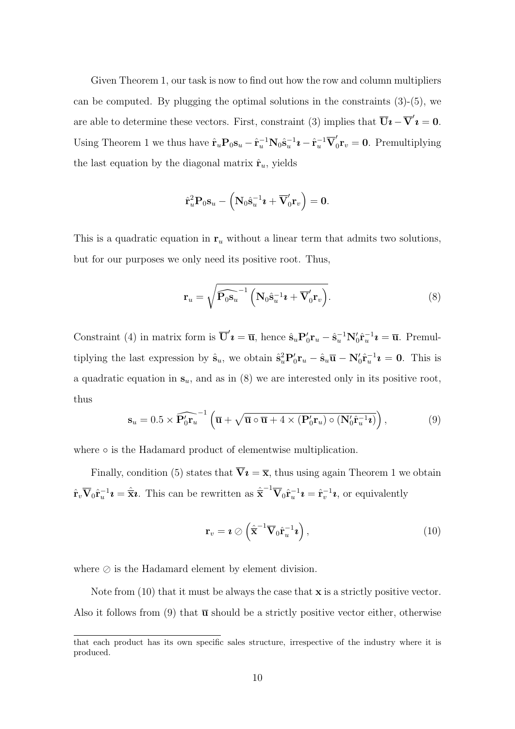Given Theorem 1, our task is now to find out how the row and column multipliers can be computed. By plugging the optimal solutions in the constraints  $(3)-(5)$ , we are able to determine these vectors. First, constraint (3) implies that  $\overline{U}i - \overline{V}'i = 0$ . Using Theorem 1 we thus have  $\hat{\mathbf{r}}_u \mathbf{P}_0 \mathbf{s}_u - \hat{\mathbf{r}}_u^{-1} \mathbf{N}_0 \hat{\mathbf{s}}_u^{-1} \mathbf{\imath} - \hat{\mathbf{r}}_u^{-1} \overline{\mathbf{V}}_0^{\prime}$  $\int_0^{\prime} \mathbf{r}_v = \mathbf{0}$ . Premultiplying the last equation by the diagonal matrix  $\hat{\mathbf{r}}_u$ , yields

$$
\hat{\mathbf{r}}_u^2 \mathbf{P}_0 \mathbf{s}_u - \left(\mathbf{N}_0 \hat{\mathbf{s}}_u^{-1} \boldsymbol{\imath} + \overline{\mathbf{V}}_0' \mathbf{r}_v\right) = \mathbf{0}.
$$

This is a quadratic equation in  $r_u$  without a linear term that admits two solutions, but for our purposes we only need its positive root. Thus,

$$
\mathbf{r}_u = \sqrt{\widehat{\mathbf{P}_0 \mathbf{s}_u}^{-1} \left( \mathbf{N}_0 \hat{\mathbf{s}}_u^{-1} \boldsymbol{\imath} + \overline{\mathbf{V}}_0' \mathbf{r}_v \right)}.
$$
 (8)

Constraint (4) in matrix form is  $\overline{\mathbf{U}}'\mathbf{\imath} = \overline{\mathbf{u}}$ , hence  $\hat{\mathbf{s}}_u \mathbf{P}_0' \mathbf{r}_u - \hat{\mathbf{s}}_u^{-1} \mathbf{N}_0' \hat{\mathbf{r}}_u^{-1} \mathbf{\imath} = \overline{\mathbf{u}}$ . Premultiplying the last expression by  $\hat{\mathbf{s}}_u$ , we obtain  $\hat{\mathbf{s}}_u^2 \mathbf{P}_0' \mathbf{r}_u - \hat{\mathbf{s}}_u \overline{\mathbf{u}} - \mathbf{N}_0' \hat{\mathbf{r}}_u^{-1} \mathbf{z} = \mathbf{0}$ . This is a quadratic equation in  $s_u$ , and as in  $(8)$  we are interested only in its positive root, thus

$$
\mathbf{s}_{u} = 0.5 \times \widehat{\mathbf{P}_{0}' \mathbf{r}_{u}}^{-1} \left( \overline{\mathbf{u}} + \sqrt{\overline{\mathbf{u}} \circ \overline{\mathbf{u}} + 4 \times (\mathbf{P}_{0}' \mathbf{r}_{u}) \circ (\mathbf{N}_{0}' \hat{\mathbf{r}}_{u}^{-1} \mathbf{z})} \right), \tag{9}
$$

where ∘ is the Hadamard product of elementwise multiplication.

Finally, condition (5) states that  $\overline{\mathbf{V}}\mathbf{i} = \overline{\mathbf{x}}$ , thus using again Theorem 1 we obtain  $\hat{\mathbf{r}}_v \overline{\mathbf{V}}_0 \hat{\mathbf{r}}_u^{-1} \mathbf{\imath} = \hat{\overline{\mathbf{x}}}\mathbf{\imath}$ . This can be rewritten as  $\hat{\overline{\mathbf{x}}}^{-1} \overline{\mathbf{V}}_0 \hat{\mathbf{r}}_u^{-1} \mathbf{\imath} = \hat{\mathbf{r}}_v^{-1} \mathbf{\imath}$ , or equivalently

$$
\mathbf{r}_v = \boldsymbol{i} \oslash \left( \hat{\overline{\mathbf{x}}}^{-1} \overline{\mathbf{V}}_0 \hat{\mathbf{r}}_u^{-1} \boldsymbol{i} \right), \tag{10}
$$

where  $\oslash$  is the Hadamard element by element division.

Note from  $(10)$  that it must be always the case that **x** is a strictly positive vector. Also it follows from (9) that  $\bar{u}$  should be a strictly positive vector either, otherwise

that each product has its own specific sales structure, irrespective of the industry where it is produced.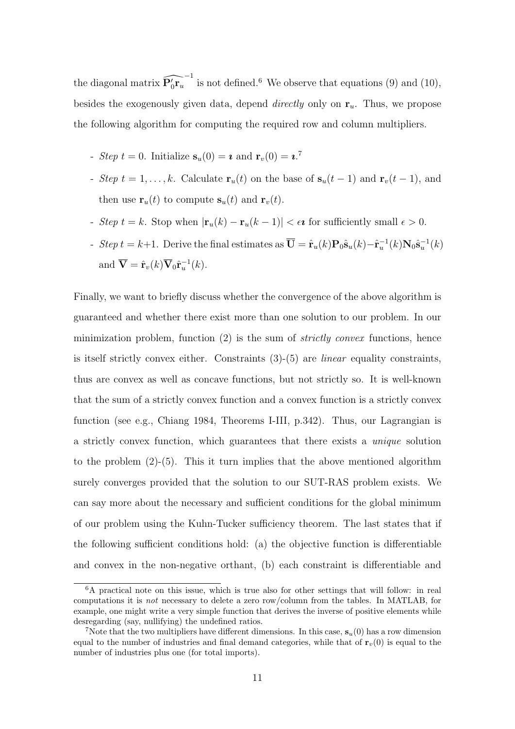the diagonal matrix  $\widehat{P'_0r_u}^{-1}$  is not defined.<sup>6</sup> We observe that equations (9) and (10), besides the exogenously given data, depend *directly* only on  $r_u$ . Thus, we propose the following algorithm for computing the required row and column multipliers.

- Step  $t = 0$ . Initialize  $\mathbf{s}_u(0) = \mathbf{\imath}$  and  $\mathbf{r}_v(0) = \mathbf{\imath}.^7$
- Step  $t = 1, ..., k$ . Calculate  $\mathbf{r}_u(t)$  on the base of  $\mathbf{s}_u(t-1)$  and  $\mathbf{r}_v(t-1)$ , and then use  $\mathbf{r}_u(t)$  to compute  $\mathbf{s}_u(t)$  and  $\mathbf{r}_v(t)$ .
- Step  $t = k$ . Stop when  $|\mathbf{r}_u(k) \mathbf{r}_u(k-1)| < \epsilon \mathbf{\hat{i}}$  for sufficiently small  $\epsilon > 0$ .
- Step  $t = k+1$ . Derive the final estimates as  $\overline{\mathbf{U}} = \hat{\mathbf{r}}_u(k)\mathbf{P}_0\hat{\mathbf{s}}_u(k) \hat{\mathbf{r}}_u^{-1}(k)\mathbf{N}_0\hat{\mathbf{s}}_u^{-1}(k)$ and  $\overline{\mathbf{V}} = \hat{\mathbf{r}}_v(k) \overline{\mathbf{V}}_0 \hat{\mathbf{r}}_u^{-1}(k)$ .

Finally, we want to briefly discuss whether the convergence of the above algorithm is guaranteed and whether there exist more than one solution to our problem. In our minimization problem, function  $(2)$  is the sum of *strictly convex* functions, hence is itself strictly convex either. Constraints  $(3)-(5)$  are *linear* equality constraints, thus are convex as well as concave functions, but not strictly so. It is well-known that the sum of a strictly convex function and a convex function is a strictly convex function (see e.g., Chiang 1984, Theorems I-III, p.342). Thus, our Lagrangian is a strictly convex function, which guarantees that there exists a unique solution to the problem  $(2)-(5)$ . This it turn implies that the above mentioned algorithm surely converges provided that the solution to our SUT-RAS problem exists. We can say more about the necessary and sufficient conditions for the global minimum of our problem using the Kuhn-Tucker sufficiency theorem. The last states that if the following sufficient conditions hold: (a) the objective function is differentiable and convex in the non-negative orthant, (b) each constraint is differentiable and

<sup>&</sup>lt;sup>6</sup>A practical note on this issue, which is true also for other settings that will follow: in real computations it is not necessary to delete a zero row/column from the tables. In MATLAB, for example, one might write a very simple function that derives the inverse of positive elements while desregarding (say, nullifying) the undefined ratios.

<sup>&</sup>lt;sup>7</sup>Note that the two multipliers have different dimensions. In this case,  $s_u(0)$  has a row dimension equal to the number of industries and final demand categories, while that of  $\mathbf{r}_v(0)$  is equal to the number of industries plus one (for total imports).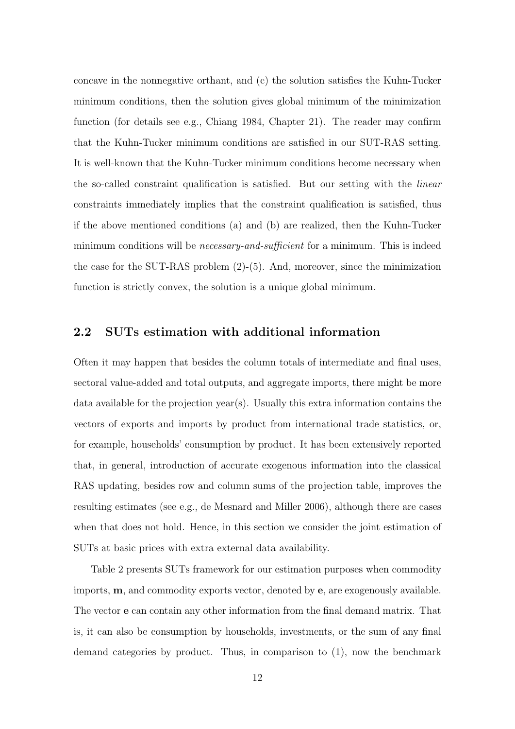concave in the nonnegative orthant, and (c) the solution satisfies the Kuhn-Tucker minimum conditions, then the solution gives global minimum of the minimization function (for details see e.g., Chiang 1984, Chapter 21). The reader may confirm that the Kuhn-Tucker minimum conditions are satisfied in our SUT-RAS setting. It is well-known that the Kuhn-Tucker minimum conditions become necessary when the so-called constraint qualification is satisfied. But our setting with the linear constraints immediately implies that the constraint qualification is satisfied, thus if the above mentioned conditions (a) and (b) are realized, then the Kuhn-Tucker minimum conditions will be *necessary-and-sufficient* for a minimum. This is indeed the case for the SUT-RAS problem (2)-(5). And, moreover, since the minimization function is strictly convex, the solution is a unique global minimum.

#### 2.2 SUTs estimation with additional information

Often it may happen that besides the column totals of intermediate and final uses, sectoral value-added and total outputs, and aggregate imports, there might be more data available for the projection year(s). Usually this extra information contains the vectors of exports and imports by product from international trade statistics, or, for example, households' consumption by product. It has been extensively reported that, in general, introduction of accurate exogenous information into the classical RAS updating, besides row and column sums of the projection table, improves the resulting estimates (see e.g., de Mesnard and Miller 2006), although there are cases when that does not hold. Hence, in this section we consider the joint estimation of SUTs at basic prices with extra external data availability.

Table 2 presents SUTs framework for our estimation purposes when commodity imports, m, and commodity exports vector, denoted by e, are exogenously available. The vector e can contain any other information from the final demand matrix. That is, it can also be consumption by households, investments, or the sum of any final demand categories by product. Thus, in comparison to (1), now the benchmark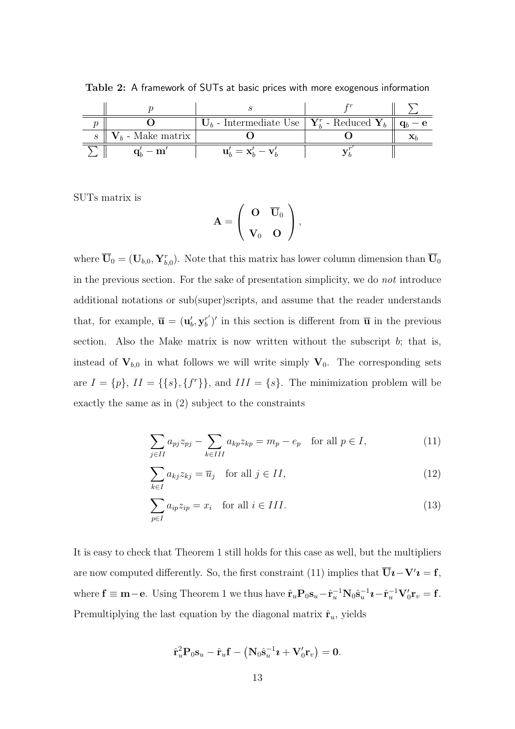|               | $U_b$ - Intermediate Use   $Y_b^r$ - Reduced $Y_b$ |  |
|---------------|----------------------------------------------------|--|
| - Make matrix |                                                    |  |
| $\mathbf{m}$  | $\mathbf{u}'_h = \mathbf{x}'_h - \mathbf{v}'$      |  |

Table 2: A framework of SUTs at basic prices with more exogenous information

SUTs matrix is

$$
\mathbf{A} = \left( \begin{array}{cc} \mathbf{O} & \overline{\mathbf{U}}_0 \\ \mathbf{V}_0 & \mathbf{O} \end{array} \right),
$$

where  $\overline{U}_0 = (U_{b,0}, Y_{b,0}^r)$ . Note that this matrix has lower column dimension than  $\overline{U}_0$ in the previous section. For the sake of presentation simplicity, we do not introduce additional notations or sub(super)scripts, and assume that the reader understands that, for example,  $\overline{\mathbf{u}} = (\mathbf{u}'_b, \mathbf{y}_b^{r'}$  $\bar{u}^{r'}$  in this section is different from  $\bar{u}$  in the previous section. Also the Make matrix is now written without the subscript  $b$ ; that is, instead of  $V_{b,0}$  in what follows we will write simply  $V_0$ . The corresponding sets are  $I = \{p\}, II = \{\{s\}, \{f^r\}\}\$ , and  $III = \{s\}$ . The minimization problem will be exactly the same as in (2) subject to the constraints

$$
\sum_{j \in II} a_{pj} z_{pj} - \sum_{k \in III} a_{kp} z_{kp} = m_p - e_p \quad \text{for all } p \in I,
$$
\n(11)

$$
\sum_{k \in I} a_{kj} z_{kj} = \overline{u}_j \quad \text{for all } j \in II,
$$
\n(12)

$$
\sum_{p \in I} a_{ip} z_{ip} = x_i \quad \text{for all } i \in III.
$$
\n(13)

It is easy to check that Theorem 1 still holds for this case as well, but the multipliers are now computed differently. So, the first constraint (11) implies that  $\overline{U}i - V'i = f$ , where  $\mathbf{f} \equiv \mathbf{m} - \mathbf{e}$ . Using Theorem 1 we thus have  $\hat{\mathbf{r}}_u \mathbf{P}_0 \mathbf{s}_u - \hat{\mathbf{r}}_u^{-1} \mathbf{N}_0 \hat{\mathbf{s}}_u^{-1} \mathbf{\imath} - \hat{\mathbf{r}}_u^{-1} \mathbf{V}_0' \mathbf{r}_v = \mathbf{f}$ . Premultiplying the last equation by the diagonal matrix  $\hat{\mathbf{r}}_u$ , yields

$$
\hat{\mathbf{r}}_u^2 \mathbf{P}_0 \mathbf{s}_u - \hat{\mathbf{r}}_u \mathbf{f} - \left(\mathbf{N}_0 \hat{\mathbf{s}}_u^{-1} \boldsymbol{\imath} + \mathbf{V}_0' \mathbf{r}_v\right) = \mathbf{0}.
$$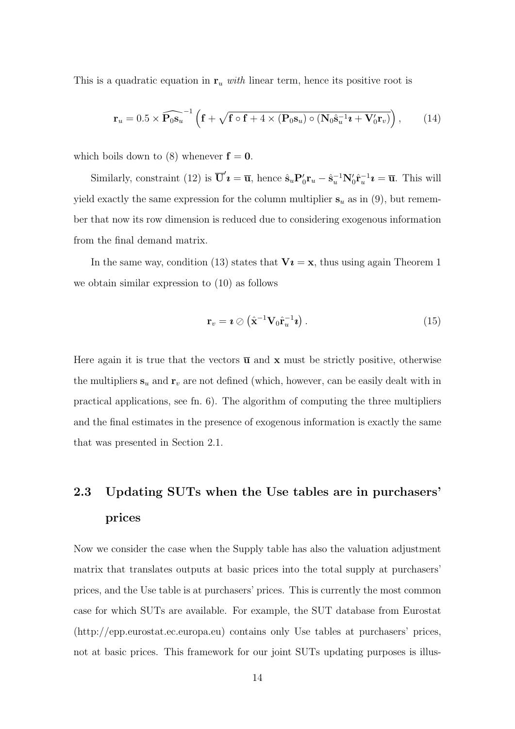This is a quadratic equation in  $r_u$  with linear term, hence its positive root is

$$
\mathbf{r}_u = 0.5 \times \widehat{\mathbf{P}_0 \mathbf{s}_u}^{-1} \left( \mathbf{f} + \sqrt{\mathbf{f} \circ \mathbf{f} + 4 \times (\mathbf{P}_0 \mathbf{s}_u) \circ (\mathbf{N}_0 \hat{\mathbf{s}}_u^{-1} \mathbf{z} + \mathbf{V}_0' \mathbf{r}_v)} \right), \quad (14)
$$

which boils down to (8) whenever  $f = 0$ .

Similarly, constraint (12) is  $\overline{\mathbf{U}}'\boldsymbol{i} = \overline{\mathbf{u}}$ , hence  $\hat{\mathbf{s}}_u \mathbf{P}_0' \mathbf{r}_u - \hat{\mathbf{s}}_u^{-1} \mathbf{N}_0' \hat{\mathbf{r}}_u^{-1} \boldsymbol{i} = \overline{\mathbf{u}}$ . This will yield exactly the same expression for the column multiplier  $s_u$  as in (9), but remember that now its row dimension is reduced due to considering exogenous information from the final demand matrix.

In the same way, condition (13) states that  $V_i = x$ , thus using again Theorem 1 we obtain similar expression to (10) as follows

$$
\mathbf{r}_v = \boldsymbol{i} \oslash (\hat{\mathbf{x}}^{-1} \mathbf{V}_0 \hat{\mathbf{r}}_u^{-1} \boldsymbol{i}). \tag{15}
$$

Here again it is true that the vectors  $\overline{u}$  and x must be strictly positive, otherwise the multipliers  $s_u$  and  $r_v$  are not defined (which, however, can be easily dealt with in practical applications, see fn. 6). The algorithm of computing the three multipliers and the final estimates in the presence of exogenous information is exactly the same that was presented in Section 2.1.

# 2.3 Updating SUTs when the Use tables are in purchasers' prices

Now we consider the case when the Supply table has also the valuation adjustment matrix that translates outputs at basic prices into the total supply at purchasers' prices, and the Use table is at purchasers' prices. This is currently the most common case for which SUTs are available. For example, the SUT database from Eurostat (http://epp.eurostat.ec.europa.eu) contains only Use tables at purchasers' prices, not at basic prices. This framework for our joint SUTs updating purposes is illus-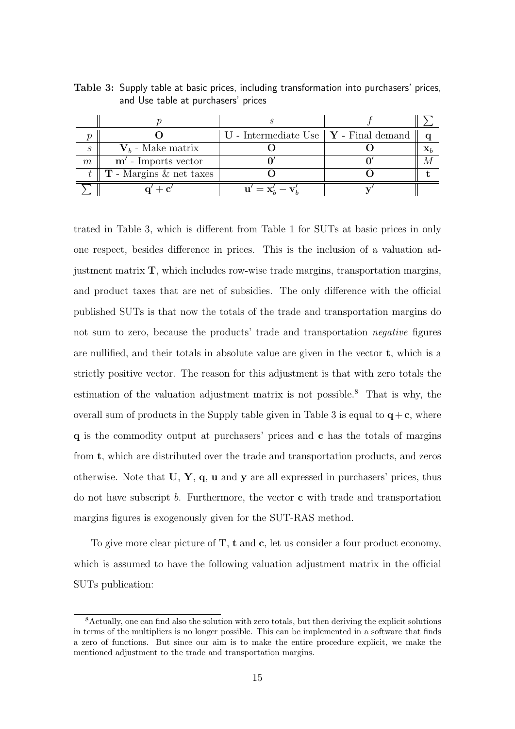|                   |                                              | $\mathbf U$ - Intermediate Use   $\mathbf Y$ - Final demand |                |
|-------------------|----------------------------------------------|-------------------------------------------------------------|----------------|
| $\mathcal{S}_{0}$ | $V_b$ - Make matrix                          |                                                             | $\mathbf{X}_l$ |
| m                 | $m'$ - Imports vector                        |                                                             |                |
|                   | $t \parallel$ <b>T</b> - Margins & net taxes |                                                             |                |
|                   | $\alpha' + \alpha'$                          | $\mathbf{u}' = \mathbf{x}_b' - \mathbf{v}_b'$               |                |

Table 3: Supply table at basic prices, including transformation into purchasers' prices, and Use table at purchasers' prices

trated in Table 3, which is different from Table 1 for SUTs at basic prices in only one respect, besides difference in prices. This is the inclusion of a valuation adjustment matrix  $T$ , which includes row-wise trade margins, transportation margins, and product taxes that are net of subsidies. The only difference with the official published SUTs is that now the totals of the trade and transportation margins do not sum to zero, because the products' trade and transportation negative figures are nullified, and their totals in absolute value are given in the vector t, which is a strictly positive vector. The reason for this adjustment is that with zero totals the estimation of the valuation adjustment matrix is not possible.<sup>8</sup> That is why, the overall sum of products in the Supply table given in Table 3 is equal to  $q+c$ , where q is the commodity output at purchasers' prices and c has the totals of margins from t, which are distributed over the trade and transportation products, and zeros otherwise. Note that  $U, Y, q$ ,  $u$  and  $y$  are all expressed in purchasers' prices, thus do not have subscript b. Furthermore, the vector  $\bf{c}$  with trade and transportation margins figures is exogenously given for the SUT-RAS method.

To give more clear picture of  $T$ ,  $t$  and  $c$ , let us consider a four product economy, which is assumed to have the following valuation adjustment matrix in the official SUTs publication:

<sup>8</sup>Actually, one can find also the solution with zero totals, but then deriving the explicit solutions in terms of the multipliers is no longer possible. This can be implemented in a software that finds a zero of functions. But since our aim is to make the entire procedure explicit, we make the mentioned adjustment to the trade and transportation margins.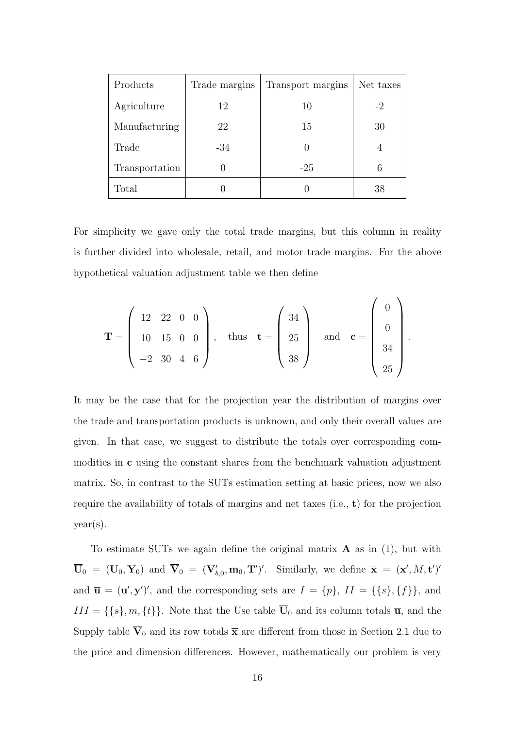| Products       | Trade margins | Transport margins | Net taxes |
|----------------|---------------|-------------------|-----------|
| Agriculture    | 12            | 10                | -2        |
| Manufacturing  | 22            | 15                | 30        |
| Trade          | $-34$         |                   | 4         |
| Transportation |               | $-25$             | 6         |
| Total          |               |                   | 38        |

For simplicity we gave only the total trade margins, but this column in reality is further divided into wholesale, retail, and motor trade margins. For the above hypothetical valuation adjustment table we then define

$$
\mathbf{T} = \begin{pmatrix} 12 & 22 & 0 & 0 \\ 10 & 15 & 0 & 0 \\ -2 & 30 & 4 & 6 \end{pmatrix}, \text{ thus } \mathbf{t} = \begin{pmatrix} 34 \\ 25 \\ 38 \end{pmatrix} \text{ and } \mathbf{c} = \begin{pmatrix} 0 \\ 0 \\ 34 \\ 25 \end{pmatrix}.
$$

It may be the case that for the projection year the distribution of margins over the trade and transportation products is unknown, and only their overall values are given. In that case, we suggest to distribute the totals over corresponding commodities in c using the constant shares from the benchmark valuation adjustment matrix. So, in contrast to the SUTs estimation setting at basic prices, now we also require the availability of totals of margins and net taxes (i.e., t) for the projection year(s).

To estimate SUTs we again define the original matrix  $\bf{A}$  as in (1), but with  $\overline{\mathbf{U}}_0$  =  $(\mathbf{U}_0, \mathbf{Y}_0)$  and  $\overline{\mathbf{V}}_0$  =  $(\mathbf{V}'_{b,0}, \mathbf{m}_0, \mathbf{T}')'$ . Similarly, we define  $\overline{\mathbf{x}}$  =  $(\mathbf{x}', M, \mathbf{t}')'$ and  $\overline{\mathbf{u}} = (\mathbf{u}', \mathbf{y}')'$ , and the corresponding sets are  $I = \{p\}$ ,  $II = \{\{s\}, \{f\}\}\$ , and  $III = \{\{s\}, m, \{t\}\}\.$  Note that the Use table  $\overline{U}_0$  and its column totals  $\overline{u}$ , and the Supply table  $\overline{V}_0$  and its row totals  $\overline{x}$  are different from those in Section 2.1 due to the price and dimension differences. However, mathematically our problem is very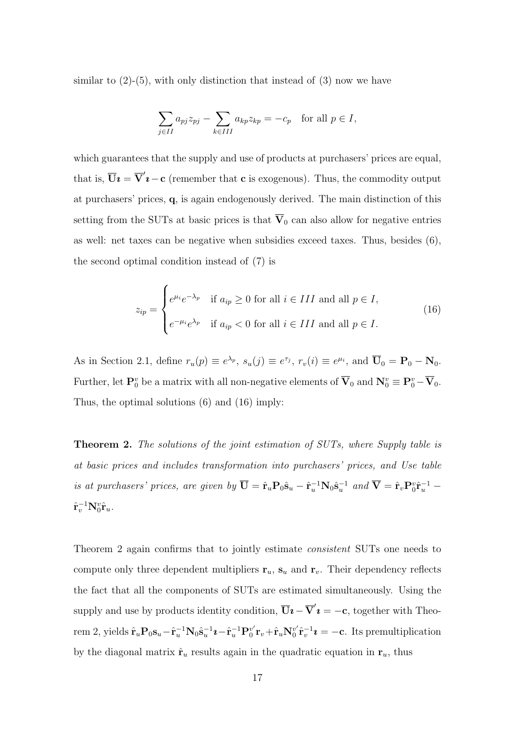similar to  $(2)-(5)$ , with only distinction that instead of  $(3)$  now we have

$$
\sum_{j \in II} a_{pj} z_{pj} - \sum_{k \in III} a_{kp} z_{kp} = -c_p \quad \text{for all } p \in I,
$$

which guarantees that the supply and use of products at purchasers' prices are equal, that is,  $\overline{U}i = \overline{V}'i - c$  (remember that c is exogenous). Thus, the commodity output at purchasers' prices, q, is again endogenously derived. The main distinction of this setting from the SUTs at basic prices is that  $\overline{V}_0$  can also allow for negative entries as well: net taxes can be negative when subsidies exceed taxes. Thus, besides (6), the second optimal condition instead of (7) is

$$
z_{ip} = \begin{cases} e^{\mu_i} e^{-\lambda_p} & \text{if } a_{ip} \ge 0 \text{ for all } i \in III \text{ and all } p \in I, \\ e^{-\mu_i} e^{\lambda_p} & \text{if } a_{ip} < 0 \text{ for all } i \in III \text{ and all } p \in I. \end{cases}
$$
(16)

As in Section 2.1, define  $r_u(p) \equiv e^{\lambda_p}$ ,  $s_u(j) \equiv e^{\tau_j}$ ,  $r_v(i) \equiv e^{\mu_i}$ , and  $\overline{U}_0 = P_0 - N_0$ . Further, let  $\mathbf{P}_0^v$  be a matrix with all non-negative elements of  $\overline{\mathbf{V}}_0$  and  $\mathbf{N}_0^v \equiv \mathbf{P}_0^v - \overline{\mathbf{V}}_0$ . Thus, the optimal solutions (6) and (16) imply:

**Theorem 2.** The solutions of the joint estimation of SUTs, where Supply table is at basic prices and includes transformation into purchasers' prices, and Use table is at purchasers' prices, are given by  $\overline{U} = \hat{r}_u P_0 \hat{s}_u - \hat{r}_u^{-1} N_0 \hat{s}_u^{-1}$  and  $\overline{V} = \hat{r}_v P_0^v \hat{r}_u^{-1}$  $\hat{\mathbf{r}}_v^{-1}\mathbf{N}_0^v\hat{\mathbf{r}}_u.$ 

Theorem 2 again confirms that to jointly estimate *consistent* SUTs one needs to compute only three dependent multipliers  $r_u$ ,  $s_u$  and  $r_v$ . Their dependency reflects the fact that all the components of SUTs are estimated simultaneously. Using the supply and use by products identity condition,  $\overline{U}i - \overline{V}'i = -c$ , together with Theorem 2, yields  $\hat{\mathbf{r}}_u \mathbf{P}_0 \mathbf{s}_u - \hat{\mathbf{r}}_u^{-1} \mathbf{N}_0 \hat{\mathbf{s}}_u^{-1} \mathbf{\imath} - \hat{\mathbf{r}}_u^{-1} \mathbf{P}_0^{v'}$  $_{0}^{v^{\prime }}$ r $_{v}+\hat{\bf r}_{u}\mathbf{N}_{0}^{v^{\prime }}$  $v_0^{\nu'} \hat{\mathbf{r}}_v^{-1} \mathbf{\imath} = -\mathbf{c}$ . Its premultiplication by the diagonal matrix  $\hat{\mathbf{r}}_u$  results again in the quadratic equation in  $\mathbf{r}_u$ , thus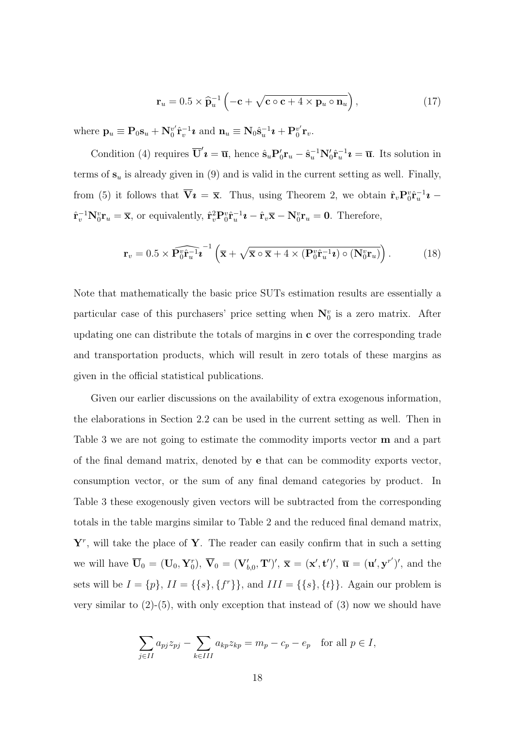$$
\mathbf{r}_u = 0.5 \times \widehat{\mathbf{p}}_u^{-1} \left( -\mathbf{c} + \sqrt{\mathbf{c} \circ \mathbf{c} + 4 \times \mathbf{p}_u \circ \mathbf{n}_u} \right), \qquad (17)
$$

where  $\mathbf{p}_u \equiv \mathbf{P}_0 \mathbf{s}_u + \mathbf{N}_0^{v'}$  $v' \hat{\mathbf{r}}_v^{-1} \boldsymbol{\imath}$  and  $\mathbf{n}_u \equiv \mathbf{N}_0 \hat{\mathbf{s}}_u^{-1} \boldsymbol{\imath} + \mathbf{P}_0^{v'}$  $\frac{v'}{0}$   $\mathbf{r}_v$ .

Condition (4) requires  $\overline{\mathbf{U}}'\mathbf{\imath} = \overline{\mathbf{u}}$ , hence  $\hat{\mathbf{s}}_u \mathbf{P}_0' \mathbf{r}_u - \hat{\mathbf{s}}_u^{-1} \mathbf{N}_0' \hat{\mathbf{r}}_u^{-1} \mathbf{\imath} = \overline{\mathbf{u}}$ . Its solution in terms of  $s_u$  is already given in (9) and is valid in the current setting as well. Finally, from (5) it follows that  $\overline{\mathbf{V}}\mathbf{\imath} = \overline{\mathbf{x}}$ . Thus, using Theorem 2, we obtain  $\hat{\mathbf{r}}_v \mathbf{P}_0^v \hat{\mathbf{r}}_u^{-1} \mathbf{\imath}$  $\hat{\mathbf{r}}_v^{-1} \mathbf{N}_0^v \mathbf{r}_u = \overline{\mathbf{x}}$ , or equivalently,  $\hat{\mathbf{r}}_v^2 \mathbf{P}_0^v \hat{\mathbf{r}}_u^{-1} \mathbf{i} - \hat{\mathbf{r}}_v \overline{\mathbf{x}} - \mathbf{N}_0^v \mathbf{r}_u = \mathbf{0}$ . Therefore,

$$
\mathbf{r}_v = 0.5 \times \widehat{\mathbf{P}_0^v \hat{\mathbf{r}}_u^{-1} \mathbf{i}}^{-1} \left( \overline{\mathbf{x}} + \sqrt{\overline{\mathbf{x}} \circ \overline{\mathbf{x}} + 4 \times (\mathbf{P}_0^v \hat{\mathbf{r}}_u^{-1} \mathbf{i}) \circ (\mathbf{N}_0^v \mathbf{r}_u)} \right).
$$
(18)

Note that mathematically the basic price SUTs estimation results are essentially a particular case of this purchasers' price setting when  $N_0^v$  is a zero matrix. After updating one can distribute the totals of margins in  $\bf{c}$  over the corresponding trade and transportation products, which will result in zero totals of these margins as given in the official statistical publications.

Given our earlier discussions on the availability of extra exogenous information, the elaborations in Section 2.2 can be used in the current setting as well. Then in Table 3 we are not going to estimate the commodity imports vector m and a part of the final demand matrix, denoted by e that can be commodity exports vector, consumption vector, or the sum of any final demand categories by product. In Table 3 these exogenously given vectors will be subtracted from the corresponding totals in the table margins similar to Table 2 and the reduced final demand matrix,  $Y<sup>r</sup>$ , will take the place of Y. The reader can easily confirm that in such a setting we will have  $\overline{\mathbf{U}}_0 = (\mathbf{U}_0, \mathbf{Y}_0^r), \overline{\mathbf{V}}_0 = (\mathbf{V}'_{b,0}, \mathbf{T}')', \overline{\mathbf{x}} = (\mathbf{x}', \mathbf{t}')', \overline{\mathbf{u}} = (\mathbf{u}', \mathbf{y}^{r'})'$ , and the sets will be  $I = \{p\}, II = \{\{s\}, \{f^r\}\}\$ , and  $III = \{\{s\}, \{t\}\}\$ . Again our problem is very similar to  $(2)-(5)$ , with only exception that instead of  $(3)$  now we should have

$$
\sum_{j \in II} a_{pj} z_{pj} - \sum_{k \in III} a_{kp} z_{kp} = m_p - c_p - e_p \quad \text{for all } p \in I,
$$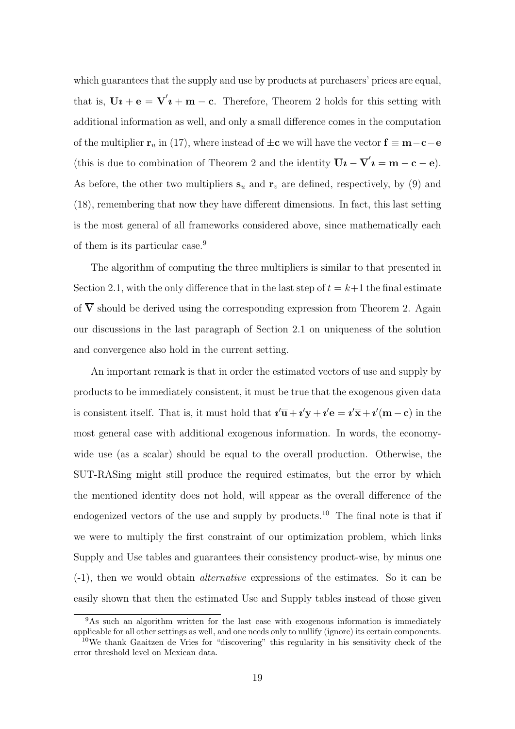which guarantees that the supply and use by products at purchasers' prices are equal, that is,  $\overline{\mathbf{U}}\mathbf{i} + \mathbf{e} = \overline{\mathbf{V}}'\mathbf{i} + \mathbf{m} - \mathbf{c}$ . Therefore, Theorem 2 holds for this setting with additional information as well, and only a small difference comes in the computation of the multiplier  $\mathbf{r}_u$  in (17), where instead of  $\pm \mathbf{c}$  we will have the vector  $\mathbf{f} \equiv \mathbf{m} - \mathbf{c} - \mathbf{e}$ (this is due to combination of Theorem 2 and the identity  $\overline{U}i - \overline{V}'i = m - c - e$ ). As before, the other two multipliers  $s_u$  and  $r_v$  are defined, respectively, by (9) and (18), remembering that now they have different dimensions. In fact, this last setting is the most general of all frameworks considered above, since mathematically each of them is its particular case.<sup>9</sup>

The algorithm of computing the three multipliers is similar to that presented in Section 2.1, with the only difference that in the last step of  $t = k+1$  the final estimate of  $\overline{V}$  should be derived using the corresponding expression from Theorem 2. Again our discussions in the last paragraph of Section 2.1 on uniqueness of the solution and convergence also hold in the current setting.

An important remark is that in order the estimated vectors of use and supply by products to be immediately consistent, it must be true that the exogenous given data is consistent itself. That is, it must hold that  $\mathbf{i}'\overline{\mathbf{u}} + \mathbf{i}'\mathbf{y} + \mathbf{i}'\mathbf{e} = \mathbf{i}'\overline{\mathbf{x}} + \mathbf{i}'(\mathbf{m} - \mathbf{c})$  in the most general case with additional exogenous information. In words, the economywide use (as a scalar) should be equal to the overall production. Otherwise, the SUT-RASing might still produce the required estimates, but the error by which the mentioned identity does not hold, will appear as the overall difference of the endogenized vectors of the use and supply by products.<sup>10</sup> The final note is that if we were to multiply the first constraint of our optimization problem, which links Supply and Use tables and guarantees their consistency product-wise, by minus one (-1), then we would obtain alternative expressions of the estimates. So it can be easily shown that then the estimated Use and Supply tables instead of those given

<sup>&</sup>lt;sup>9</sup>As such an algorithm written for the last case with exogenous information is immediately applicable for all other settings as well, and one needs only to nullify (ignore) its certain components.

<sup>10</sup>We thank Gaaitzen de Vries for "discovering" this regularity in his sensitivity check of the error threshold level on Mexican data.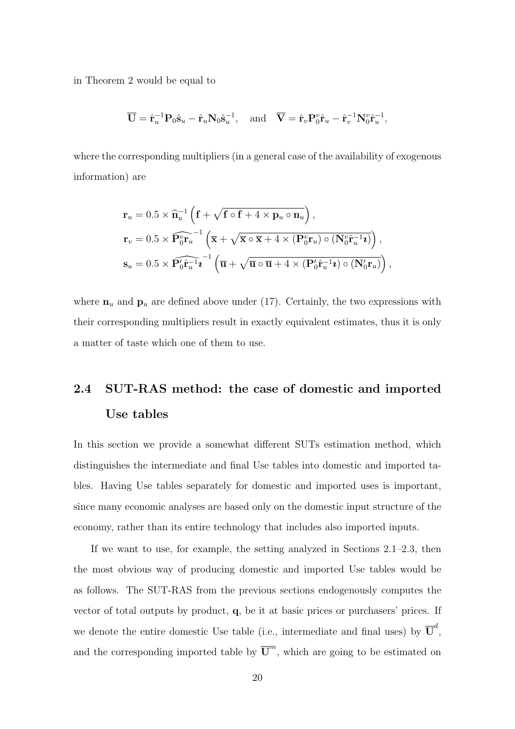in Theorem 2 would be equal to

$$
\overline{\mathbf{U}} = \hat{\mathbf{r}}_u^{-1} \mathbf{P}_0 \hat{\mathbf{s}}_u - \hat{\mathbf{r}}_u \mathbf{N}_0 \hat{\mathbf{s}}_u^{-1}, \text{ and } \overline{\mathbf{V}} = \hat{\mathbf{r}}_v \mathbf{P}_0^v \hat{\mathbf{r}}_u - \hat{\mathbf{r}}_v^{-1} \mathbf{N}_0^v \hat{\mathbf{r}}_u^{-1},
$$

where the corresponding multipliers (in a general case of the availability of exogenous information) are

$$
\mathbf{r}_{u} = 0.5 \times \hat{\mathbf{n}}_{u}^{-1} \left( \mathbf{f} + \sqrt{\mathbf{f} \circ \mathbf{f} + 4 \times \mathbf{p}_{u} \circ \mathbf{n}_{u}} \right),
$$
  
\n
$$
\mathbf{r}_{v} = 0.5 \times \widehat{\mathbf{P}_{0}^{v} \mathbf{r}_{u}}^{-1} \left( \overline{\mathbf{x}} + \sqrt{\overline{\mathbf{x}} \circ \overline{\mathbf{x}} + 4 \times (\mathbf{P}_{0}^{v} \mathbf{r}_{u}) \circ (\mathbf{N}_{0}^{v} \hat{\mathbf{r}}_{u}^{-1} \mathbf{z})} \right),
$$
  
\n
$$
\mathbf{s}_{u} = 0.5 \times \widehat{\mathbf{P}_{0}^{r} \hat{\mathbf{r}}_{u}^{-1} \mathbf{z}}^{-1} \left( \overline{\mathbf{u}} + \sqrt{\overline{\mathbf{u}} \circ \overline{\mathbf{u}} + 4 \times (\mathbf{P}_{0}^{r} \hat{\mathbf{r}}_{u}^{-1} \mathbf{z}) \circ (\mathbf{N}_{0}^{r} \mathbf{r}_{u})} \right),
$$

where  $n_u$  and  $p_u$  are defined above under (17). Certainly, the two expressions with their corresponding multipliers result in exactly equivalent estimates, thus it is only a matter of taste which one of them to use.

## 2.4 SUT-RAS method: the case of domestic and imported Use tables

In this section we provide a somewhat different SUTs estimation method, which distinguishes the intermediate and final Use tables into domestic and imported tables. Having Use tables separately for domestic and imported uses is important, since many economic analyses are based only on the domestic input structure of the economy, rather than its entire technology that includes also imported inputs.

If we want to use, for example, the setting analyzed in Sections 2.1–2.3, then the most obvious way of producing domestic and imported Use tables would be as follows. The SUT-RAS from the previous sections endogenously computes the vector of total outputs by product,  $q$ , be it at basic prices or purchasers' prices. If we denote the entire domestic Use table (i.e., intermediate and final uses) by  $\overline{\mathbf{U}}^d$ , and the corresponding imported table by  $\overline{U}^m$ , which are going to be estimated on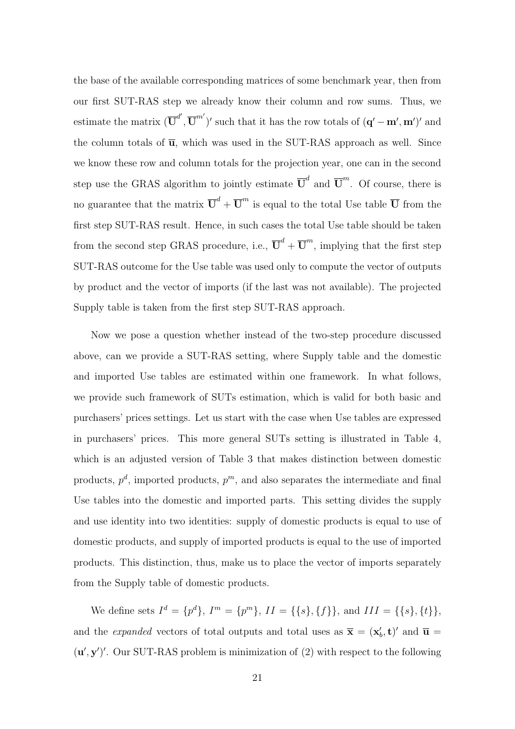the base of the available corresponding matrices of some benchmark year, then from our first SUT-RAS step we already know their column and row sums. Thus, we estimate the matrix  $(\overline{\mathbf{U}}^{d'}, \overline{\mathbf{U}}^{m'})'$  such that it has the row totals of  $(\mathbf{q'} - \mathbf{m'}, \mathbf{m'})'$  and the column totals of  $\overline{u}$ , which was used in the SUT-RAS approach as well. Since we know these row and column totals for the projection year, one can in the second step use the GRAS algorithm to jointly estimate  $\overline{U}^d$  and  $\overline{U}^m$ . Of course, there is no guarantee that the matrix  $\overline{U}^d + \overline{U}^m$  is equal to the total Use table  $\overline{U}$  from the first step SUT-RAS result. Hence, in such cases the total Use table should be taken from the second step GRAS procedure, i.e.,  $\overline{U}^d + \overline{U}^m$ , implying that the first step SUT-RAS outcome for the Use table was used only to compute the vector of outputs by product and the vector of imports (if the last was not available). The projected Supply table is taken from the first step SUT-RAS approach.

Now we pose a question whether instead of the two-step procedure discussed above, can we provide a SUT-RAS setting, where Supply table and the domestic and imported Use tables are estimated within one framework. In what follows, we provide such framework of SUTs estimation, which is valid for both basic and purchasers' prices settings. Let us start with the case when Use tables are expressed in purchasers' prices. This more general SUTs setting is illustrated in Table 4, which is an adjusted version of Table 3 that makes distinction between domestic products,  $p^d$ , imported products,  $p^m$ , and also separates the intermediate and final Use tables into the domestic and imported parts. This setting divides the supply and use identity into two identities: supply of domestic products is equal to use of domestic products, and supply of imported products is equal to the use of imported products. This distinction, thus, make us to place the vector of imports separately from the Supply table of domestic products.

We define sets  $I^d = \{p^d\}, I^m = \{p^m\}, II = \{\{s\}, \{f\}\}, \text{ and } III = \{\{s\}, \{t\}\},\$ and the *expanded* vectors of total outputs and total uses as  $\overline{\mathbf{x}} = (\mathbf{x}'_b, \mathbf{t})'$  and  $\overline{\mathbf{u}} =$  $(\mathbf{u}', \mathbf{y}')'$ . Our SUT-RAS problem is minimization of  $(2)$  with respect to the following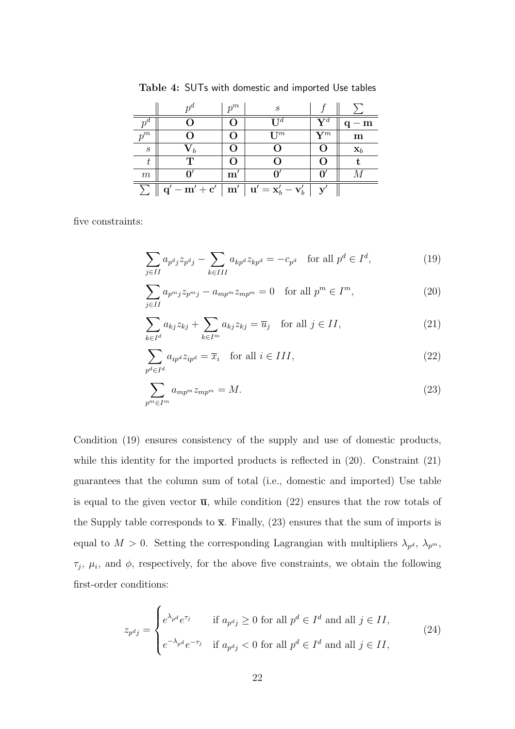|                  |                                                  | $n^m$         | S                                         |                |                |
|------------------|--------------------------------------------------|---------------|-------------------------------------------|----------------|----------------|
|                  |                                                  |               | T T $^d$                                  | $\mathbf{V}^d$ | – m            |
| $p^m$            |                                                  |               | $I^{m}$                                   | $\mathbf{V}^m$ | $\mathbf m$    |
| $\boldsymbol{s}$ | $\mathbf{v}_{b}$                                 |               |                                           |                | $\mathbf{x}_b$ |
| t                | ጥ                                                |               |                                           |                |                |
| m                |                                                  | $\mathbf{m}'$ |                                           | Օ              |                |
|                  | $\overline{\mathbf{q}'-\mathbf{m}'+\mathbf{c}'}$ | m'            | $\mathbf{u}'=\mathbf{x}_b'-\mathbf{v}_b'$ |                |                |

Table 4: SUTs with domestic and imported Use tables

five constraints:

$$
\sum_{j \in II} a_{p^d j} z_{p^d j} - \sum_{k \in III} a_{k p^d} z_{k p^d} = -c_{p^d} \quad \text{for all } p^d \in I^d,
$$
\n(19)

$$
\sum_{j \in II} a_{p^m j} z_{p^m j} - a_{m p^m} z_{m p^m} = 0 \quad \text{for all } p^m \in I^m,
$$
\n(20)

$$
\sum_{k \in I^d} a_{kj} z_{kj} + \sum_{k \in I^m} a_{kj} z_{kj} = \overline{u}_j \quad \text{for all } j \in II,
$$
\n(21)

$$
\sum_{p^d \in I^d} a_{ip^d} z_{ip^d} = \overline{x}_i \quad \text{for all } i \in III,
$$
\n(22)

$$
\sum_{p^m \in I^m} a_{mp^m} z_{mp^m} = M. \tag{23}
$$

Condition (19) ensures consistency of the supply and use of domestic products, while this identity for the imported products is reflected in  $(20)$ . Constraint  $(21)$ guarantees that the column sum of total (i.e., domestic and imported) Use table is equal to the given vector  $\overline{u}$ , while condition (22) ensures that the row totals of the Supply table corresponds to  $\bar{x}$ . Finally, (23) ensures that the sum of imports is equal to  $M > 0$ . Setting the corresponding Lagrangian with multipliers  $\lambda_{p^d}$ ,  $\lambda_{p^m}$ ,  $\tau_j$ ,  $\mu_i$ , and  $\phi$ , respectively, for the above five constraints, we obtain the following first-order conditions:

$$
z_{p^d j} = \begin{cases} e^{\lambda_{p^d}} e^{\tau_j} & \text{if } a_{p^d j} \ge 0 \text{ for all } p^d \in I^d \text{ and all } j \in II, \\ e^{-\lambda_{p^d}} e^{-\tau_j} & \text{if } a_{p^d j} < 0 \text{ for all } p^d \in I^d \text{ and all } j \in II, \end{cases}
$$
(24)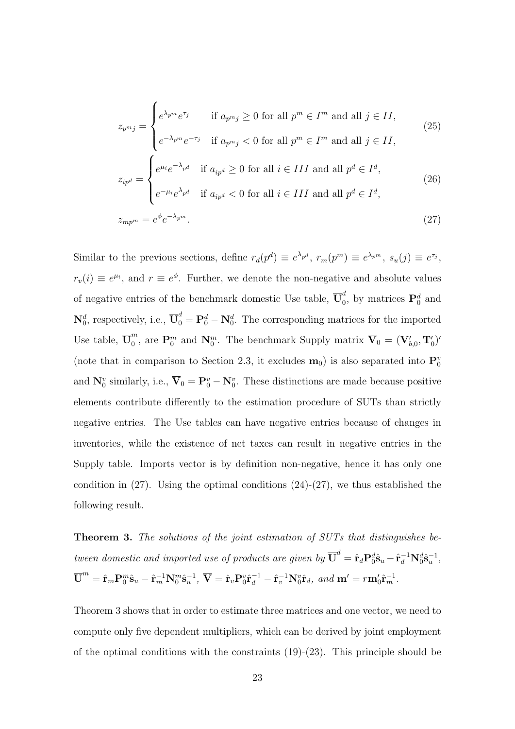$$
z_{p^m j} = \begin{cases} e^{\lambda_{p^m}} e^{\tau_j} & \text{if } a_{p^m j} \ge 0 \text{ for all } p^m \in I^m \text{ and all } j \in II, \\ e^{-\lambda_{p^m}} e^{-\tau_j} & \text{if } a_{p^m j} < 0 \text{ for all } p^m \in I^m \text{ and all } j \in II, \end{cases} \tag{25}
$$
\n
$$
z_{ip^d} = \begin{cases} e^{\mu_i} e^{-\lambda_{p^d}} & \text{if } a_{ip^d} \ge 0 \text{ for all } i \in III \text{ and all } p^d \in I^d, \\ e^{-\mu_i} e^{\lambda_{p^d}} & \text{if } a_{ip^d} < 0 \text{ for all } i \in III \text{ and all } p^d \in I^d, \end{cases} \tag{26}
$$
\n
$$
z_{mp^m} = e^{\phi} e^{-\lambda_{p^m}}. \tag{27}
$$

Similar to the previous sections, define  $r_d(p^d) \equiv e^{\lambda_{p^d}}$ ,  $r_m(p^m) \equiv e^{\lambda_{p^m}}$ ,  $s_u(j) \equiv e^{\tau_j}$ ,  $r_v(i) \equiv e^{\mu_i}$ , and  $r \equiv e^{\phi}$ . Further, we denote the non-negative and absolute values of negative entries of the benchmark domestic Use table,  $\overline{\mathbf{U}}_0^d$  $\mathbf{p}_0^d$ , by matrices  $\mathbf{P}_0^d$  and  $\mathbf{N}_0^d$ , respectively, i.e.,  $\overline{\mathbf{U}}_0^d = \mathbf{P}_0^d - \mathbf{N}_0^d$ . The corresponding matrices for the imported Use table,  $\overline{\mathbf{U}}_0^m$ <sup>m</sup>, are  $\mathbf{P}_0^m$  and  $\mathbf{N}_0^m$ . The benchmark Supply matrix  $\overline{\mathbf{V}}_0 = (\mathbf{V}'_{b,0}, \mathbf{T}'_0)'$ (note that in comparison to Section 2.3, it excludes  $\mathbf{m}_0$ ) is also separated into  $\mathbf{P}_0^v$ and  $N_0^v$  similarly, i.e.,  $\overline{V}_0 = P_0^v - N_0^v$ . These distinctions are made because positive elements contribute differently to the estimation procedure of SUTs than strictly negative entries. The Use tables can have negative entries because of changes in inventories, while the existence of net taxes can result in negative entries in the Supply table. Imports vector is by definition non-negative, hence it has only one condition in  $(27)$ . Using the optimal conditions  $(24)-(27)$ , we thus established the following result.

Theorem 3. The solutions of the joint estimation of SUTs that distinguishes between domestic and imported use of products are given by  $\overline{\mathbf{U}}^d = \hat{\mathbf{r}}_d \mathbf{P}_0^d \hat{\mathbf{s}}_u - \hat{\mathbf{r}}_d^{-1} \mathbf{N}_0^d \hat{\mathbf{s}}_u^{-1}$ ,  $\overline{\bf U}^m = \hat{\bf r}_m {\bf P}_0^m \hat{\bf s}_u - \hat{\bf r}_m^{-1} {\bf N}_0^m \hat{\bf s}_u^{-1}, \; \overline{\bf V} = \hat{\bf r}_v {\bf P}_0^v \hat{\bf r}_d^{-1} - \hat{\bf r}_v^{-1} {\bf N}_0^v \hat{\bf r}_d, \; and \; {\bf m}' = r {\bf m}_0' \hat{\bf r}_m^{-1}.$ 

Theorem 3 shows that in order to estimate three matrices and one vector, we need to compute only five dependent multipliers, which can be derived by joint employment of the optimal conditions with the constraints  $(19)-(23)$ . This principle should be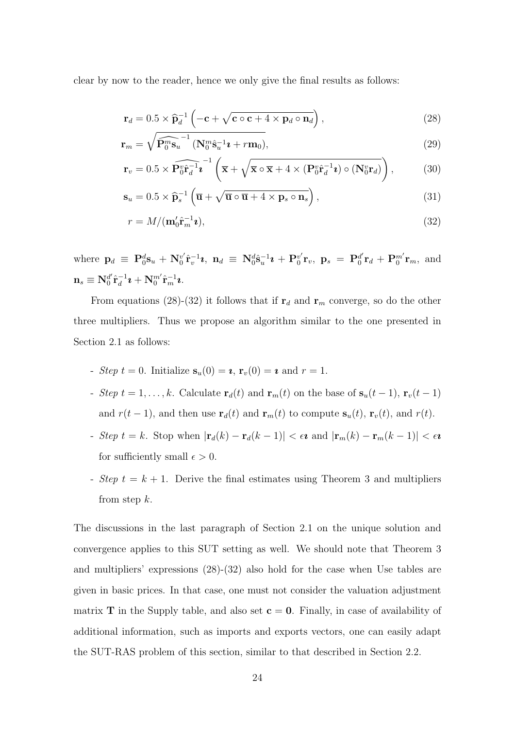clear by now to the reader, hence we only give the final results as follows:

$$
\mathbf{r}_d = 0.5 \times \widehat{\mathbf{p}}_d^{-1} \left( -\mathbf{c} + \sqrt{\mathbf{c} \circ \mathbf{c} + 4 \times \mathbf{p}_d \circ \mathbf{n}_d} \right),\tag{28}
$$

$$
\mathbf{r}_m = \sqrt{\widehat{\mathbf{P}_0^m \mathbf{s}_u}^{-1} (\mathbf{N}_0^m \hat{\mathbf{s}}_u^{-1} \mathbf{\imath} + r \mathbf{m}_0)},\tag{29}
$$

$$
\mathbf{r}_v = 0.5 \times \widehat{\mathbf{P}_0^v \hat{\mathbf{r}}_d^{-1} \mathbf{i}}^{-1} \left( \overline{\mathbf{x}} + \sqrt{\overline{\mathbf{x}} \circ \overline{\mathbf{x}} + 4 \times (\mathbf{P}_0^v \hat{\mathbf{r}}_d^{-1} \mathbf{i}) \circ (\mathbf{N}_0^v \mathbf{r}_d)} \right), \tag{30}
$$

$$
\mathbf{s}_{u} = 0.5 \times \widehat{\mathbf{p}}_{s}^{-1} \left( \overline{\mathbf{u}} + \sqrt{\overline{\mathbf{u}} \circ \overline{\mathbf{u}} + 4 \times \mathbf{p}_{s} \circ \mathbf{n}_{s}} \right), \tag{31}
$$

$$
r = M/(\mathbf{m}_0' \hat{\mathbf{r}}_m^{-1} \mathbf{z}),\tag{32}
$$

where  $\mathbf{p}_d \equiv \mathbf{P}_0^d \mathbf{s}_u + \mathbf{N}_0^{v'}$  $\mathrm{D}_0^v \hat{\mathbf{r}}_v^{-1} \bm{\imath}, \,\, \mathbf{n}_d \,\equiv\, \mathbf{N}_0^d \hat{\mathbf{s}}_u^{-1} \bm{\imath} \,+\, \mathbf{P}_0^{v'}$  $_{0}^{v'} {\bf r}_{v}, \,\, {\bf p}_{s} \, = \, {\bf P}_{0}^{d'}$  $\mathbf{d}'\mathbf{r}_d + \mathbf{P}_0^{m'}\mathbf{r}_m$ , and  $\mathbf{n}_s \equiv \mathbf{N}_0^{d'}$  $_0^{d'} \hat{\mathbf{r}}_d^{-1}$  $\frac{-1}{d}$ U +  ${\bf N}_0^{m'} \hat{\bf r}_m^{-1}$ U.

From equations (28)-(32) it follows that if  $\mathbf{r}_d$  and  $\mathbf{r}_m$  converge, so do the other three multipliers. Thus we propose an algorithm similar to the one presented in Section 2.1 as follows:

- Step  $t = 0$ . Initialize  $\mathbf{s}_u(0) = \mathbf{z}, \mathbf{r}_v(0) = \mathbf{z}$  and  $r = 1$ .
- Step  $t = 1, \ldots, k$ . Calculate  $\mathbf{r}_d(t)$  and  $\mathbf{r}_m(t)$  on the base of  $\mathbf{s}_u(t-1)$ ,  $\mathbf{r}_v(t-1)$ and  $r(t - 1)$ , and then use  $\mathbf{r}_d(t)$  and  $\mathbf{r}_m(t)$  to compute  $\mathbf{s}_u(t)$ ,  $\mathbf{r}_v(t)$ , and  $r(t)$ .
- Step  $t = k$ . Stop when  $|\mathbf{r}_d(k) \mathbf{r}_d(k-1)| < \epsilon \mathbf{\imath}$  and  $|\mathbf{r}_m(k) \mathbf{r}_m(k-1)| < \epsilon \mathbf{\imath}$ for sufficiently small  $\epsilon > 0$ .
- Step  $t = k + 1$ . Derive the final estimates using Theorem 3 and multipliers from step  $k$ .

The discussions in the last paragraph of Section 2.1 on the unique solution and convergence applies to this SUT setting as well. We should note that Theorem 3 and multipliers' expressions (28)-(32) also hold for the case when Use tables are given in basic prices. In that case, one must not consider the valuation adjustment matrix **T** in the Supply table, and also set  $c = 0$ . Finally, in case of availability of additional information, such as imports and exports vectors, one can easily adapt the SUT-RAS problem of this section, similar to that described in Section 2.2.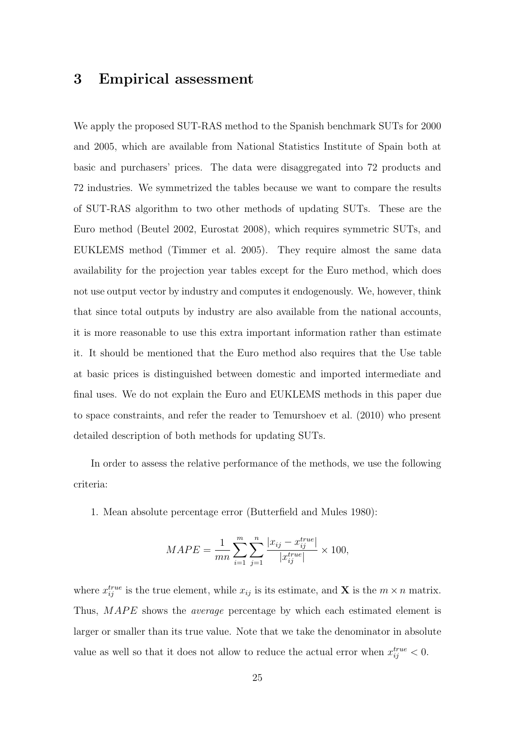### 3 Empirical assessment

We apply the proposed SUT-RAS method to the Spanish benchmark SUTs for 2000 and 2005, which are available from National Statistics Institute of Spain both at basic and purchasers' prices. The data were disaggregated into 72 products and 72 industries. We symmetrized the tables because we want to compare the results of SUT-RAS algorithm to two other methods of updating SUTs. These are the Euro method (Beutel 2002, Eurostat 2008), which requires symmetric SUTs, and EUKLEMS method (Timmer et al. 2005). They require almost the same data availability for the projection year tables except for the Euro method, which does not use output vector by industry and computes it endogenously. We, however, think that since total outputs by industry are also available from the national accounts, it is more reasonable to use this extra important information rather than estimate it. It should be mentioned that the Euro method also requires that the Use table at basic prices is distinguished between domestic and imported intermediate and final uses. We do not explain the Euro and EUKLEMS methods in this paper due to space constraints, and refer the reader to Temurshoev et al. (2010) who present detailed description of both methods for updating SUTs.

In order to assess the relative performance of the methods, we use the following criteria:

1. Mean absolute percentage error (Butterfield and Mules 1980):

$$
MAPE = \frac{1}{mn} \sum_{i=1}^{m} \sum_{j=1}^{n} \frac{|x_{ij} - x_{ij}^{true}|}{|x_{ij}^{true}|} \times 100,
$$

where  $x_{ij}^{true}$  is the true element, while  $x_{ij}$  is its estimate, and **X** is the  $m \times n$  matrix. Thus, MAPE shows the *average* percentage by which each estimated element is larger or smaller than its true value. Note that we take the denominator in absolute value as well so that it does not allow to reduce the actual error when  $x_{ij}^{true} < 0$ .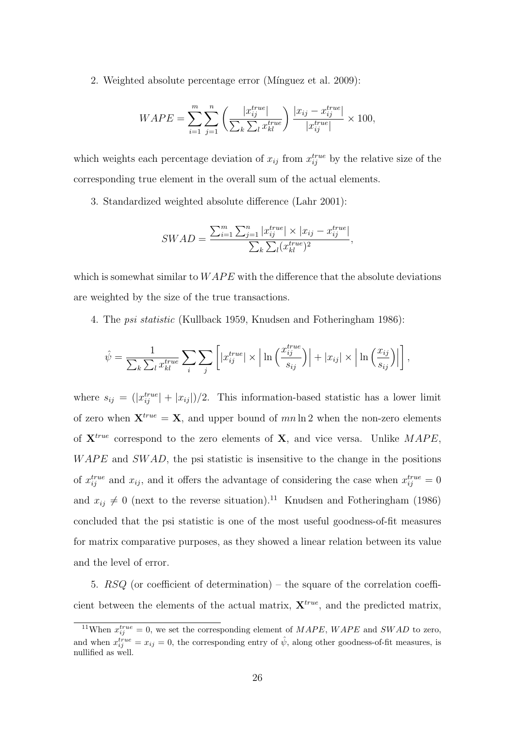2. Weighted absolute percentage error (Mínguez et al. 2009):

$$
WAPE = \sum_{i=1}^{m} \sum_{j=1}^{n} \left( \frac{|x_{ij}^{true}|}{\sum_{k} \sum_{l} x_{kl}^{true}} \right) \frac{|x_{ij} - x_{ij}^{true}|}{|x_{ij}^{true}|} \times 100,
$$

which weights each percentage deviation of  $x_{ij}$  from  $x_{ij}^{true}$  by the relative size of the corresponding true element in the overall sum of the actual elements.

3. Standardized weighted absolute difference (Lahr 2001):

$$
SWAD = \frac{\sum_{i=1}^{m} \sum_{j=1}^{n} |x_{ij}^{true}| \times |x_{ij} - x_{ij}^{true}|}{\sum_{k} \sum_{l} (x_{kl}^{true})^2},
$$

which is somewhat similar to  $WAPE$  with the difference that the absolute deviations are weighted by the size of the true transactions.

4. The psi statistic (Kullback 1959, Knudsen and Fotheringham 1986):

$$
\hat{\psi} = \frac{1}{\sum_{k} \sum_{l} x_{kl}^{true}} \sum_{i} \sum_{j} \left[ |x_{ij}^{true}| \times \left| \ln \left( \frac{x_{ij}^{true}}{s_{ij}} \right) \right| + |x_{ij}| \times \left| \ln \left( \frac{x_{ij}}{s_{ij}} \right) \right| \right],
$$

where  $s_{ij} = (|x_{ij}^{true}| + |x_{ij}|)/2$ . This information-based statistic has a lower limit of zero when  $\mathbf{X}^{true} = \mathbf{X}$ , and upper bound of mn ln 2 when the non-zero elements of  $X^{true}$  correspond to the zero elements of X, and vice versa. Unlike  $MAPE$ ,  $WAPE$  and  $SWAD$ , the psi statistic is insensitive to the change in the positions of  $x_{ij}^{true}$  and  $x_{ij}$ , and it offers the advantage of considering the case when  $x_{ij}^{true} = 0$ and  $x_{ij} \neq 0$  (next to the reverse situation).<sup>11</sup> Knudsen and Fotheringham (1986) concluded that the psi statistic is one of the most useful goodness-of-fit measures for matrix comparative purposes, as they showed a linear relation between its value and the level of error.

5. RSQ (or coefficient of determination) – the square of the correlation coefficient between the elements of the actual matrix,  $\mathbf{X}^{true}$ , and the predicted matrix,

<sup>&</sup>lt;sup>11</sup>When  $x_{ij}^{true} = 0$ , we set the corresponding element of  $MAPE$ ,  $WAPE$  and  $SWAD$  to zero, and when  $x_{ij}^{true} = x_{ij} = 0$ , the corresponding entry of  $\hat{\psi}$ , along other goodness-of-fit measures, is nullified as well.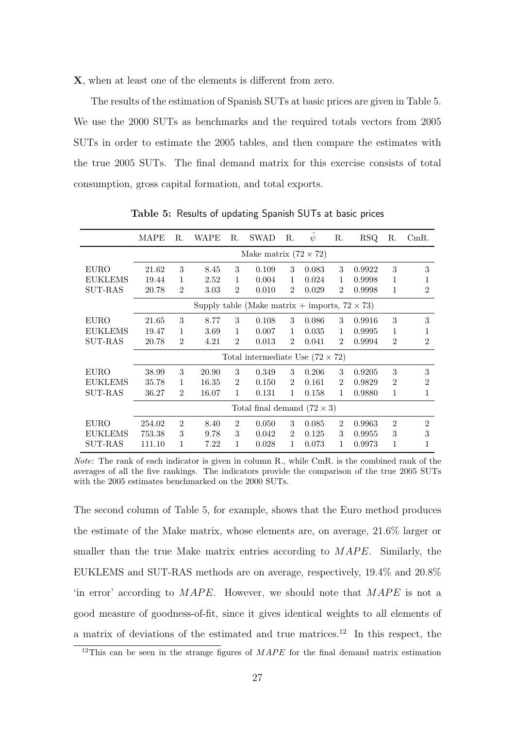X, when at least one of the elements is different from zero.

The results of the estimation of Spanish SUTs at basic prices are given in Table 5. We use the 2000 SUTs as benchmarks and the required totals vectors from 2005 SUTs in order to estimate the 2005 tables, and then compare the estimates with the true 2005 SUTs. The final demand matrix for this exercise consists of total consumption, gross capital formation, and total exports.

|                | MAPE                                                  | R.                           | WAPE  | R.             | <b>SWAD</b>                             | R.             | $\psi$ | R.             | <b>RSQ</b> | R.             | $CmR$ .        |  |
|----------------|-------------------------------------------------------|------------------------------|-------|----------------|-----------------------------------------|----------------|--------|----------------|------------|----------------|----------------|--|
|                |                                                       | Make matrix $(72 \times 72)$ |       |                |                                         |                |        |                |            |                |                |  |
| EURO           | 21.62                                                 | 3                            | 8.45  | 3              | 0.109                                   | 3              | 0.083  | 3              | 0.9922     | 3              | 3              |  |
| <b>EUKLEMS</b> | 19.44                                                 | 1                            | 2.52  | 1              | 0.004                                   | $\mathbf{1}$   | 0.024  | 1              | 0.9998     | 1              | 1              |  |
| <b>SUT-RAS</b> | 20.78                                                 | $\overline{2}$               | 3.03  | $\overline{2}$ | 0.010                                   | 2              | 0.029  | 2              | 0.9998     | 1              | $\overline{2}$ |  |
|                | Supply table (Make matrix + imports, $72 \times 73$ ) |                              |       |                |                                         |                |        |                |            |                |                |  |
| <b>EURO</b>    | 21.65                                                 | 3                            | 8.77  | 3              | 0.108                                   | 3              | 0.086  | 3              | 0.9916     | 3              | 3              |  |
| <b>EUKLEMS</b> | 19.47                                                 | 1                            | 3.69  | 1              | 0.007                                   | 1              | 0.035  | 1              | 0.9995     | 1              | 1              |  |
| SUT-RAS        | 20.78                                                 | $\overline{2}$               | 4.21  | $\overline{2}$ | 0.013                                   | $\overline{2}$ | 0.041  | 2              | 0.9994     | $\overline{2}$ | $\overline{2}$ |  |
|                |                                                       |                              |       |                | Total intermediate Use $(72 \times 72)$ |                |        |                |            |                |                |  |
| EURO           | 38.99                                                 | 3                            | 20.90 | 3              | 0.349                                   | 3              | 0.206  | 3              | 0.9205     | 3              | 3              |  |
| <b>EUKLEMS</b> | 35.78                                                 | 1                            | 16.35 | $\overline{2}$ | 0.150                                   | $\overline{2}$ | 0.161  | $\overline{2}$ | 0.9829     | $\overline{2}$ | $\overline{2}$ |  |
| <b>SUT-RAS</b> | 36.27                                                 | $\overline{2}$               | 16.07 | 1              | 0.131                                   | 1              | 0.158  | 1              | 0.9880     | 1              | 1              |  |
|                | Total final demand $(72 \times 3)$                    |                              |       |                |                                         |                |        |                |            |                |                |  |
| <b>EURO</b>    | 254.02                                                | $\overline{2}$               | 8.40  | $\overline{2}$ | 0.050                                   | 3              | 0.085  | $\mathcal{D}$  | 0.9963     | $\overline{2}$ | $\overline{2}$ |  |
| <b>EUKLEMS</b> | 753.38                                                | 3                            | 9.78  | 3              | 0.042                                   | 2              | 0.125  | 3              | 0.9955     | 3              | 3              |  |
| $SUT-RAS$      | 111.10                                                | 1                            | 7.22  | $\mathbf 1$    | 0.028                                   | 1              | 0.073  | 1              | 0.9973     | 1              | 1              |  |

Table 5: Results of updating Spanish SUTs at basic prices

The second column of Table 5, for example, shows that the Euro method produces the estimate of the Make matrix, whose elements are, on average, 21.6% larger or smaller than the true Make matrix entries according to  $MAPE$ . Similarly, the EUKLEMS and SUT-RAS methods are on average, respectively, 19.4% and 20.8% 'in error' according to  $MAPE$ . However, we should note that  $MAPE$  is not a good measure of goodness-of-fit, since it gives identical weights to all elements of a matrix of deviations of the estimated and true matrices.<sup>12</sup> In this respect, the

Note: The rank of each indicator is given in column R., while CmR. is the combined rank of the averages of all the five rankings. The indicators provide the comparison of the true 2005 SUTs with the 2005 estimates benchmarked on the 2000 SUTs.

 $12$ This can be seen in the strange figures of  $MAPE$  for the final demand matrix estimation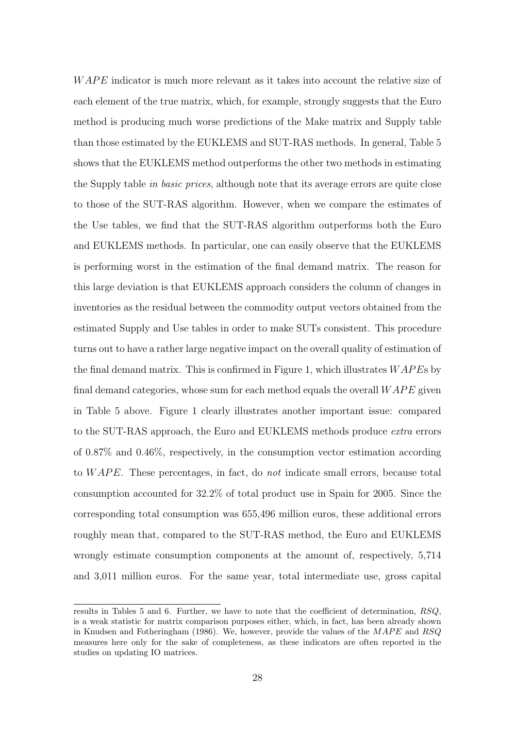$WAPE$  indicator is much more relevant as it takes into account the relative size of each element of the true matrix, which, for example, strongly suggests that the Euro method is producing much worse predictions of the Make matrix and Supply table than those estimated by the EUKLEMS and SUT-RAS methods. In general, Table 5 shows that the EUKLEMS method outperforms the other two methods in estimating the Supply table in basic prices, although note that its average errors are quite close to those of the SUT-RAS algorithm. However, when we compare the estimates of the Use tables, we find that the SUT-RAS algorithm outperforms both the Euro and EUKLEMS methods. In particular, one can easily observe that the EUKLEMS is performing worst in the estimation of the final demand matrix. The reason for this large deviation is that EUKLEMS approach considers the column of changes in inventories as the residual between the commodity output vectors obtained from the estimated Supply and Use tables in order to make SUTs consistent. This procedure turns out to have a rather large negative impact on the overall quality of estimation of the final demand matrix. This is confirmed in Figure 1, which illustrates  $WAPEs$  by final demand categories, whose sum for each method equals the overall  $WAPE$  given in Table 5 above. Figure 1 clearly illustrates another important issue: compared to the SUT-RAS approach, the Euro and EUKLEMS methods produce *extra* errors of 0.87% and 0.46%, respectively, in the consumption vector estimation according to  $WAPE$ . These percentages, in fact, do not indicate small errors, because total consumption accounted for 32.2% of total product use in Spain for 2005. Since the corresponding total consumption was 655,496 million euros, these additional errors roughly mean that, compared to the SUT-RAS method, the Euro and EUKLEMS wrongly estimate consumption components at the amount of, respectively, 5,714 and 3,011 million euros. For the same year, total intermediate use, gross capital

results in Tables 5 and 6. Further, we have to note that the coefficient of determination, RSQ, is a weak statistic for matrix comparison purposes either, which, in fact, has been already shown in Knudsen and Fotheringham (1986). We, however, provide the values of the  $MAPE$  and  $RSQ$ measures here only for the sake of completeness, as these indicators are often reported in the studies on updating IO matrices.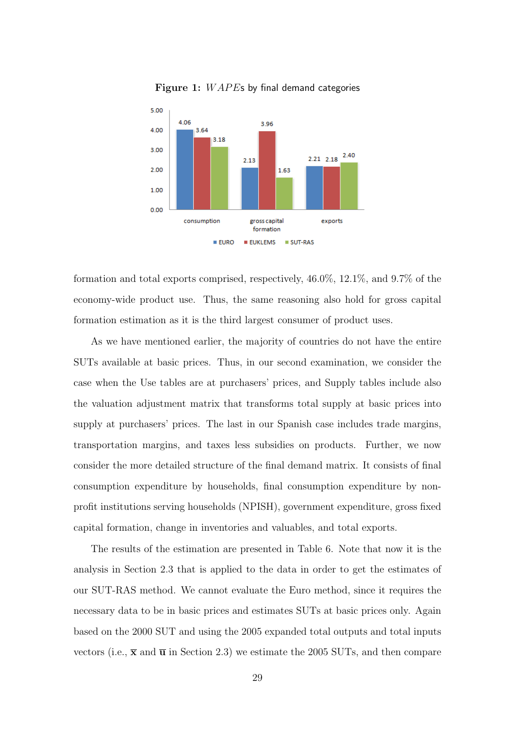

Figure 1:  $WAPE$ s by final demand categories

formation and total exports comprised, respectively, 46.0%, 12.1%, and 9.7% of the economy-wide product use. Thus, the same reasoning also hold for gross capital formation estimation as it is the third largest consumer of product uses.

As we have mentioned earlier, the majority of countries do not have the entire SUTs available at basic prices. Thus, in our second examination, we consider the case when the Use tables are at purchasers' prices, and Supply tables include also the valuation adjustment matrix that transforms total supply at basic prices into supply at purchasers' prices. The last in our Spanish case includes trade margins, transportation margins, and taxes less subsidies on products. Further, we now consider the more detailed structure of the final demand matrix. It consists of final consumption expenditure by households, final consumption expenditure by nonprofit institutions serving households (NPISH), government expenditure, gross fixed capital formation, change in inventories and valuables, and total exports.

The results of the estimation are presented in Table 6. Note that now it is the analysis in Section 2.3 that is applied to the data in order to get the estimates of our SUT-RAS method. We cannot evaluate the Euro method, since it requires the necessary data to be in basic prices and estimates SUTs at basic prices only. Again based on the 2000 SUT and using the 2005 expanded total outputs and total inputs vectors (i.e.,  $\bar{\mathbf{x}}$  and  $\bar{\mathbf{u}}$  in Section 2.3) we estimate the 2005 SUTs, and then compare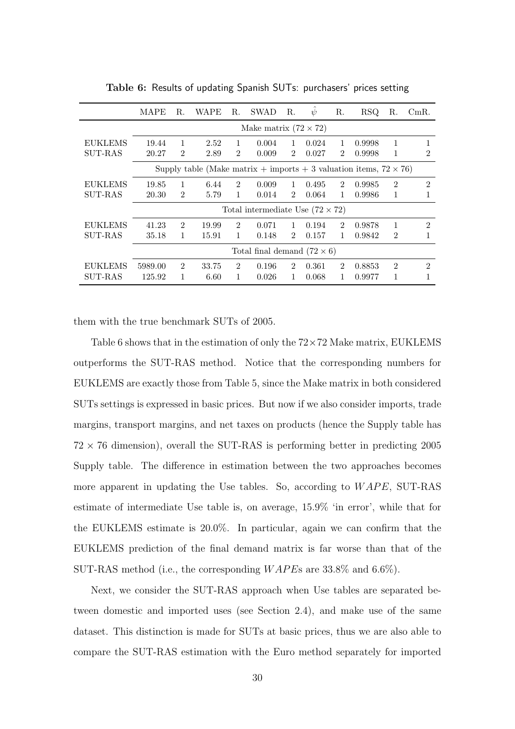|                | <b>MAPE</b>                                                               | R.                          | WAPE  | R.                          | <b>SWAD</b>                             | R.             | $\psi$ | R.                          | <b>RSQ</b> | R.             | CmR.                        |
|----------------|---------------------------------------------------------------------------|-----------------------------|-------|-----------------------------|-----------------------------------------|----------------|--------|-----------------------------|------------|----------------|-----------------------------|
|                | Make matrix $(72 \times 72)$                                              |                             |       |                             |                                         |                |        |                             |            |                |                             |
| EUKLEMS        | 19.44                                                                     |                             | 2.52  | 1                           | 0.004                                   | 1              | 0.024  | 1                           | 0.9998     | 1              |                             |
| <b>SUT-RAS</b> | 20.27                                                                     | $\overline{2}$              | 2.89  | $\overline{2}$              | 0.009                                   | $\mathcal{D}$  | 0.027  | 2                           | 0.9998     | 1              | 2                           |
|                | Supply table (Make matrix + imports + 3 valuation items, $72 \times 76$ ) |                             |       |                             |                                         |                |        |                             |            |                |                             |
| <b>EUKLEMS</b> | 19.85                                                                     |                             | 6.44  | $\mathfrak{D}$              | 0.009                                   | 1              | 0.495  | $\mathfrak{D}$              | 0.9985     | $\overline{2}$ | $\mathfrak{D}$              |
| SUT-RAS        | 20.30                                                                     | $\overline{2}$              | 5.79  | 1                           | 0.014                                   | $\mathcal{D}$  | 0.064  | 1                           | 0.9986     | 1              | 1                           |
|                |                                                                           |                             |       |                             | Total intermediate Use $(72 \times 72)$ |                |        |                             |            |                |                             |
| <b>EUKLEMS</b> | 41.23                                                                     | $\mathcal{D}_{\mathcal{L}}$ | 19.99 | $\mathcal{D}_{\mathcal{L}}$ | 0.071                                   | $\mathbf{1}$   | 0.194  | $\mathcal{D}_{\mathcal{L}}$ | 0.9878     | 1              | $\mathcal{D}_{\mathcal{L}}$ |
| SUT-RAS        | 35.18                                                                     | 1                           | 15.91 | 1                           | 0.148                                   | $\mathfrak{D}$ | 0.157  | 1                           | 0.9842     | $\overline{2}$ |                             |
|                | Total final demand $(72 \times 6)$                                        |                             |       |                             |                                         |                |        |                             |            |                |                             |
| EUKLEMS        | 5989.00                                                                   | $\overline{2}$              | 33.75 | 2                           | 0.196                                   | $\mathcal{D}$  | 0.361  | $\overline{2}$              | 0.8853     | $\overline{2}$ | $\mathfrak{D}$              |
| SUT-RAS        | 125.92                                                                    |                             | 6.60  | 1                           | 0.026                                   | $\mathbf{1}$   | 0.068  | 1                           | 0.9977     | 1              |                             |

Table 6: Results of updating Spanish SUTs: purchasers' prices setting

them with the true benchmark SUTs of 2005.

Table 6 shows that in the estimation of only the  $72\times72$  Make matrix, EUKLEMS outperforms the SUT-RAS method. Notice that the corresponding numbers for EUKLEMS are exactly those from Table 5, since the Make matrix in both considered SUTs settings is expressed in basic prices. But now if we also consider imports, trade margins, transport margins, and net taxes on products (hence the Supply table has  $72 \times 76$  dimension), overall the SUT-RAS is performing better in predicting 2005 Supply table. The difference in estimation between the two approaches becomes more apparent in updating the Use tables. So, according to  $WAPE$ , SUT-RAS estimate of intermediate Use table is, on average, 15.9% 'in error', while that for the EUKLEMS estimate is 20.0%. In particular, again we can confirm that the EUKLEMS prediction of the final demand matrix is far worse than that of the SUT-RAS method (i.e., the corresponding  $WAPEs$  are 33.8% and 6.6%).

Next, we consider the SUT-RAS approach when Use tables are separated between domestic and imported uses (see Section 2.4), and make use of the same dataset. This distinction is made for SUTs at basic prices, thus we are also able to compare the SUT-RAS estimation with the Euro method separately for imported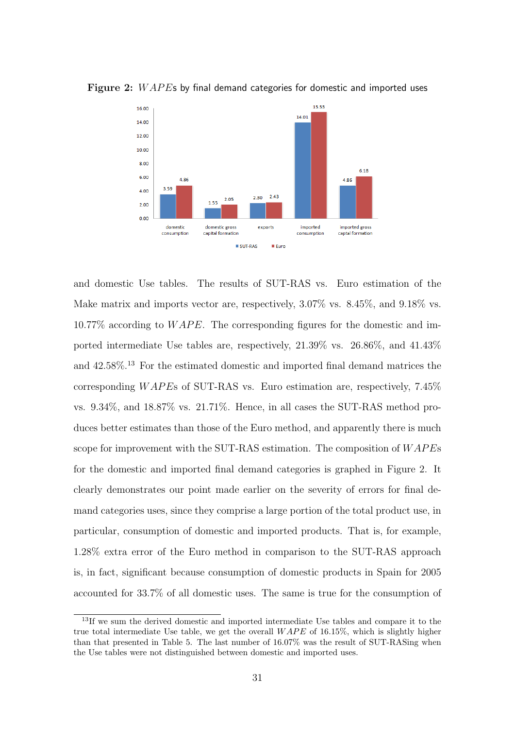

Figure 2: WAPEs by final demand categories for domestic and imported uses

and domestic Use tables. The results of SUT-RAS vs. Euro estimation of the Make matrix and imports vector are, respectively, 3.07% vs. 8.45%, and 9.18% vs.  $10.77\%$  according to  $WAPE$ . The corresponding figures for the domestic and imported intermediate Use tables are, respectively, 21.39% vs. 26.86%, and 41.43% and  $42.58\%$ <sup>13</sup> For the estimated domestic and imported final demand matrices the corresponding  $WAPE$ s of SUT-RAS vs. Euro estimation are, respectively, 7.45% vs. 9.34%, and 18.87% vs. 21.71%. Hence, in all cases the SUT-RAS method produces better estimates than those of the Euro method, and apparently there is much scope for improvement with the SUT-RAS estimation. The composition of  $WAPEs$ for the domestic and imported final demand categories is graphed in Figure 2. It clearly demonstrates our point made earlier on the severity of errors for final demand categories uses, since they comprise a large portion of the total product use, in particular, consumption of domestic and imported products. That is, for example, 1.28% extra error of the Euro method in comparison to the SUT-RAS approach is, in fact, significant because consumption of domestic products in Spain for 2005 accounted for 33.7% of all domestic uses. The same is true for the consumption of

<sup>&</sup>lt;sup>13</sup>If we sum the derived domestic and imported intermediate Use tables and compare it to the true total intermediate Use table, we get the overall  $WAPE$  of 16.15%, which is slightly higher than that presented in Table 5. The last number of 16.07% was the result of SUT-RASing when the Use tables were not distinguished between domestic and imported uses.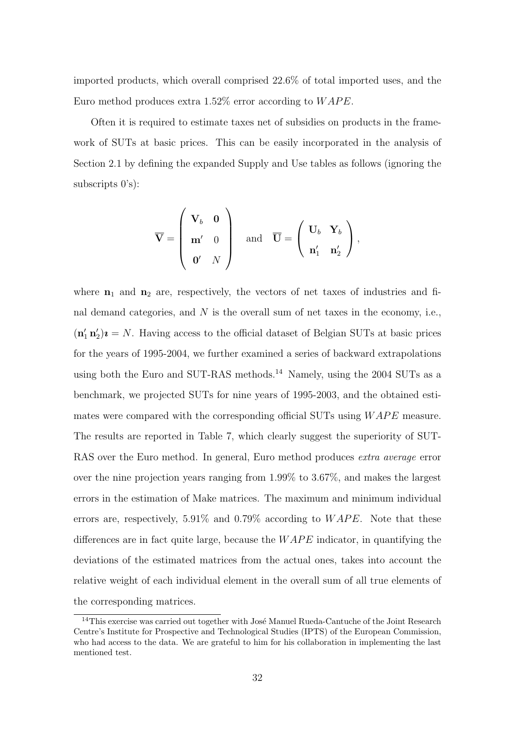imported products, which overall comprised 22.6% of total imported uses, and the Euro method produces extra 1.52% error according to  $WAPE$ .

Often it is required to estimate taxes net of subsidies on products in the framework of SUTs at basic prices. This can be easily incorporated in the analysis of Section 2.1 by defining the expanded Supply and Use tables as follows (ignoring the subscripts 0's):

$$
\overline{\mathbf{V}} = \left(\begin{array}{cc} \mathbf{V}_b & \mathbf{0} \\ \mathbf{m}' & 0 \\ \mathbf{0}' & N \end{array}\right) \quad \text{and} \quad \overline{\mathbf{U}} = \left(\begin{array}{cc} \mathbf{U}_b & \mathbf{Y}_b \\ \mathbf{n}'_1 & \mathbf{n}'_2 \end{array}\right),
$$

where  $n_1$  and  $n_2$  are, respectively, the vectors of net taxes of industries and final demand categories, and  $N$  is the overall sum of net taxes in the economy, i.e.,  $(\mathbf{n}'_1 \mathbf{n}'_2)\mathbf{i} = N$ . Having access to the official dataset of Belgian SUTs at basic prices for the years of 1995-2004, we further examined a series of backward extrapolations using both the Euro and SUT-RAS methods.<sup>14</sup> Namely, using the 2004 SUTs as a benchmark, we projected SUTs for nine years of 1995-2003, and the obtained estimates were compared with the corresponding official SUTs using  $WAPE$  measure. The results are reported in Table 7, which clearly suggest the superiority of SUT-RAS over the Euro method. In general, Euro method produces extra average error over the nine projection years ranging from 1.99% to 3.67%, and makes the largest errors in the estimation of Make matrices. The maximum and minimum individual errors are, respectively, 5.91% and 0.79% according to  $WAPE$ . Note that these differences are in fact quite large, because the  $WAPE$  indicator, in quantifying the deviations of the estimated matrices from the actual ones, takes into account the relative weight of each individual element in the overall sum of all true elements of the corresponding matrices.

<sup>&</sup>lt;sup>14</sup>This exercise was carried out together with José Manuel Rueda-Cantuche of the Joint Research Centre's Institute for Prospective and Technological Studies (IPTS) of the European Commission, who had access to the data. We are grateful to him for his collaboration in implementing the last mentioned test.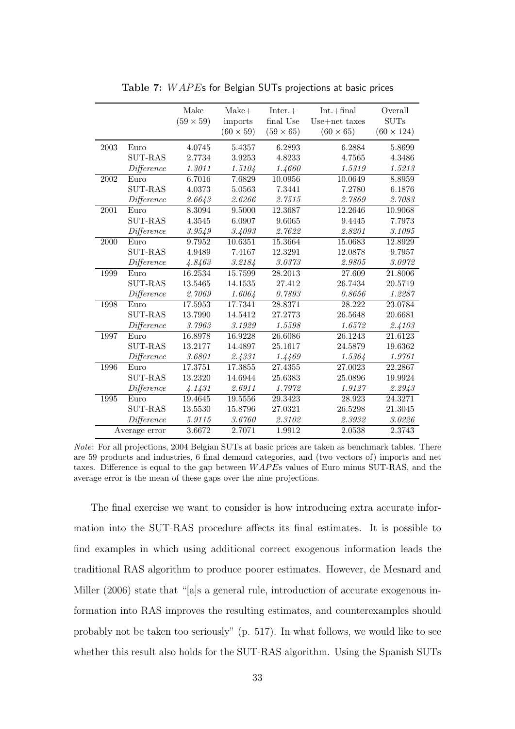|      |                | Make<br>$(59 \times 59)$ | Make+<br>imports<br>$(60 \times 59)$ | $Inter.+$<br>final Use<br>$(59 \times 65)$ | $Int.+final$<br>Use+net taxes<br>$(60 \times 65)$ | Overall<br>$\rm SUTs$<br>$(60 \times 124)$ |
|------|----------------|--------------------------|--------------------------------------|--------------------------------------------|---------------------------------------------------|--------------------------------------------|
| 2003 | Euro           | 4.0745                   | 5.4357                               | 6.2893                                     | 6.2884                                            | 5.8699                                     |
|      | $SUT-RAS$      | 2.7734                   | 3.9253                               | 4.8233                                     | 4.7565                                            | 4.3486                                     |
|      | Difference     | 1.3011                   | 1.5104                               | 1.4660                                     | 1.5319                                            | 1.5213                                     |
| 2002 | Euro           | 6.7016                   | 7.6829                               | 10.0956                                    | 10.0649                                           | 8.8959                                     |
|      | <b>SUT-RAS</b> | 4.0373                   | 5.0563                               | 7.3441                                     | 7.2780                                            | 6.1876                                     |
|      | Difference     | 2.6643                   | 2.6266                               | 2.7515                                     | 2.7869                                            | 2.7083                                     |
| 2001 | Euro           | 8.3094                   | 9.5000                               | 12.3687                                    | 12.2646                                           | 10.9068                                    |
|      | <b>SUT-RAS</b> | 4.3545                   | 6.0907                               | 9.6065                                     | 9.4445                                            | 7.7973                                     |
|      | Difference     | 3.9549                   | 3.4093                               | 2.7622                                     | 2.8201                                            | 3.1095                                     |
| 2000 | Euro           | 9.7952                   | 10.6351                              | 15.3664                                    | 15.0683                                           | 12.8929                                    |
|      | <b>SUT-RAS</b> | 4.9489                   | 7.4167                               | 12.3291                                    | 12.0878                                           | 9.7957                                     |
|      | Difference     | 4.8463                   | 3.2184                               | 3.0373                                     | 2.9805                                            | 3.0972                                     |
| 1999 | Euro           | 16.2534                  | 15.7599                              | 28.2013                                    | 27.609                                            | 21.8006                                    |
|      | <b>SUT-RAS</b> | 13.5465                  | 14.1535                              | 27.412                                     | 26.7434                                           | 20.5719                                    |
|      | Difference     | 2.7069                   | 1.6064                               | 0.7893                                     | 0.8656                                            | 1.2287                                     |
| 1998 | Euro           | 17.5953                  | 17.7341                              | 28.8371                                    | 28.222                                            | 23.0784                                    |
|      | <b>SUT-RAS</b> | 13.7990                  | 14.5412                              | 27.2773                                    | 26.5648                                           | 20.6681                                    |
|      | Difference     | 3.7963                   | 3.1929                               | 1.5598                                     | 1.6572                                            | 2.4103                                     |
| 1997 | Euro           | 16.8978                  | 16.9228                              | 26.6086                                    | 26.1243                                           | 21.6123                                    |
|      | SUT-RAS        | 13.2177                  | 14.4897                              | 25.1617                                    | 24.5879                                           | 19.6362                                    |
|      | Difference     | 3.6801                   | 2.4331                               | 1.4469                                     | 1.5364                                            | 1.9761                                     |
| 1996 | Euro           | 17.3751                  | 17.3855                              | 27.4355                                    | 27.0023                                           | 22.2867                                    |
|      | <b>SUT-RAS</b> | 13.2320                  | 14.6944                              | 25.6383                                    | 25.0896                                           | 19.9924                                    |
|      | Difference     | 4.1431                   | 2.6911                               | 1.7972                                     | 1.9127                                            | 2.2943                                     |
| 1995 | Euro           | 19.4645                  | 19.5556                              | 29.3423                                    | 28.923                                            | 24.3271                                    |
|      | <b>SUT-RAS</b> | 13.5530                  | 15.8796                              | 27.0321                                    | 26.5298                                           | 21.3045                                    |
|      | Difference     | 5.9115                   | 3.6760                               | 2.3102                                     | 2.3932                                            | 3.0226                                     |
|      | Average error  | 3.6672                   | 2.7071                               | 1.9912                                     | 2.0538                                            | 2.3743                                     |

Table 7: WAPEs for Belgian SUTs projections at basic prices

Note: For all projections, 2004 Belgian SUTs at basic prices are taken as benchmark tables. There are 59 products and industries, 6 final demand categories, and (two vectors of) imports and net taxes. Difference is equal to the gap between  $WAPES$  values of Euro minus SUT-RAS, and the average error is the mean of these gaps over the nine projections.

The final exercise we want to consider is how introducing extra accurate information into the SUT-RAS procedure affects its final estimates. It is possible to find examples in which using additional correct exogenous information leads the traditional RAS algorithm to produce poorer estimates. However, de Mesnard and Miller (2006) state that "[a]s a general rule, introduction of accurate exogenous information into RAS improves the resulting estimates, and counterexamples should probably not be taken too seriously" (p. 517). In what follows, we would like to see whether this result also holds for the SUT-RAS algorithm. Using the Spanish SUTs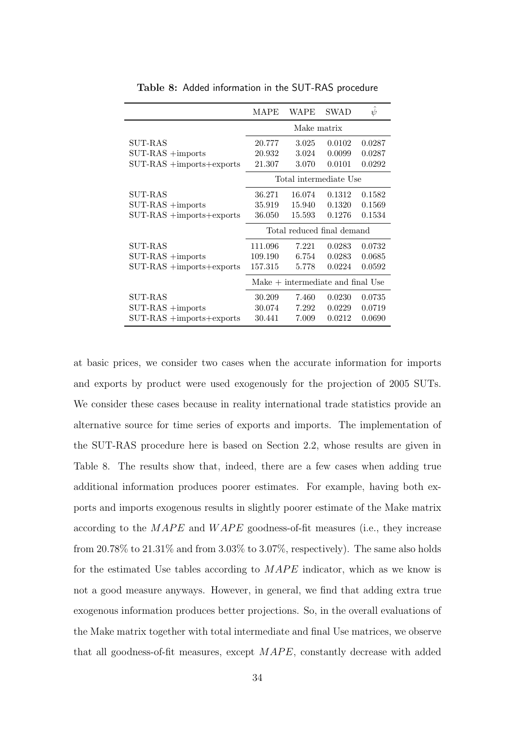|                              | <b>MAPE</b>                         | WAPE   | <b>SWAD</b> | $\psi$ |  |  |
|------------------------------|-------------------------------------|--------|-------------|--------|--|--|
|                              | Make matrix                         |        |             |        |  |  |
| <b>SUT-RAS</b>               | 20.777                              | 3.025  | 0.0102      | 0.0287 |  |  |
| $SUT-RAS +$ imports          | 20.932                              | 3.024  | 0.0099      | 0.0287 |  |  |
| $SUT-RAS + import$           | 21.307                              | 3.070  | 0.0101      | 0.0292 |  |  |
|                              | Total intermediate Use              |        |             |        |  |  |
| <b>SUT-RAS</b>               | 36.271                              | 16.074 | 0.1312      | 0.1582 |  |  |
| $SUT-RAS +$ imports          | 35.919                              | 15.940 | 0.1320      | 0.1569 |  |  |
| $SUT-RAS + import$           | 36.050                              | 15.593 | 0.1276      | 0.1534 |  |  |
|                              | Total reduced final demand          |        |             |        |  |  |
| <b>SUT-RAS</b>               | 111.096                             | 7.221  | 0.0283      | 0.0732 |  |  |
| $SUT-RAS +$ imports          | 109.190                             | 6.754  | 0.0283      | 0.0685 |  |  |
| $SUT-RAS + import$ s+exports | 157.315                             | 5.778  | 0.0224      | 0.0592 |  |  |
|                              | $Make + intermediate and final Use$ |        |             |        |  |  |
| SUT-RAS                      | 30.209                              | 7.460  | 0.0230      | 0.0735 |  |  |
| $SUT-RAS +$ imports          | 30.074                              | 7.292  | 0.0229      | 0.0719 |  |  |
| $SUT-RAS + import$ s+exports | 30.441                              | 7.009  | 0.0212      | 0.0690 |  |  |

Table 8: Added information in the SUT-RAS procedure

at basic prices, we consider two cases when the accurate information for imports and exports by product were used exogenously for the projection of 2005 SUTs. We consider these cases because in reality international trade statistics provide an alternative source for time series of exports and imports. The implementation of the SUT-RAS procedure here is based on Section 2.2, whose results are given in Table 8. The results show that, indeed, there are a few cases when adding true additional information produces poorer estimates. For example, having both exports and imports exogenous results in slightly poorer estimate of the Make matrix according to the  $MAPE$  and  $WAPE$  goodness-of-fit measures (i.e., they increase from  $20.78\%$  to  $21.31\%$  and from  $3.03\%$  to  $3.07\%$ , respectively). The same also holds for the estimated Use tables according to  $MAPE$  indicator, which as we know is not a good measure anyways. However, in general, we find that adding extra true exogenous information produces better projections. So, in the overall evaluations of the Make matrix together with total intermediate and final Use matrices, we observe that all goodness-of-fit measures, except  $MAPE$ , constantly decrease with added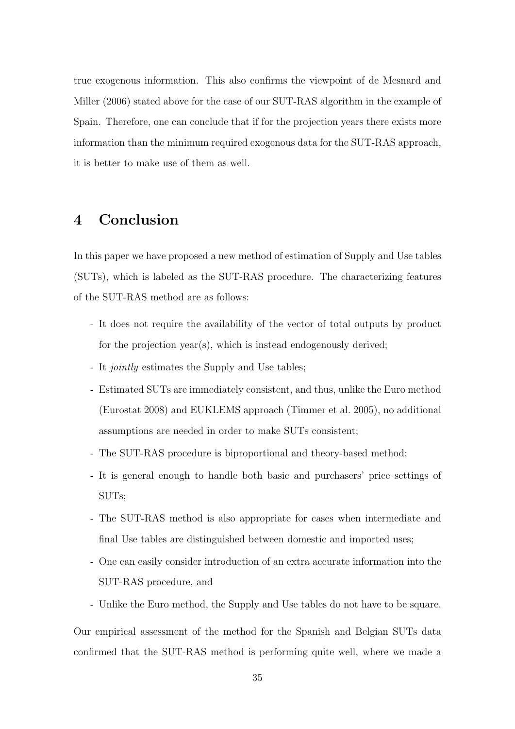true exogenous information. This also confirms the viewpoint of de Mesnard and Miller (2006) stated above for the case of our SUT-RAS algorithm in the example of Spain. Therefore, one can conclude that if for the projection years there exists more information than the minimum required exogenous data for the SUT-RAS approach, it is better to make use of them as well.

## 4 Conclusion

In this paper we have proposed a new method of estimation of Supply and Use tables (SUTs), which is labeled as the SUT-RAS procedure. The characterizing features of the SUT-RAS method are as follows:

- It does not require the availability of the vector of total outputs by product for the projection year(s), which is instead endogenously derived;
- It jointly estimates the Supply and Use tables;
- Estimated SUTs are immediately consistent, and thus, unlike the Euro method (Eurostat 2008) and EUKLEMS approach (Timmer et al. 2005), no additional assumptions are needed in order to make SUTs consistent;
- The SUT-RAS procedure is biproportional and theory-based method;
- It is general enough to handle both basic and purchasers' price settings of SUTs;
- The SUT-RAS method is also appropriate for cases when intermediate and final Use tables are distinguished between domestic and imported uses;
- One can easily consider introduction of an extra accurate information into the SUT-RAS procedure, and
- Unlike the Euro method, the Supply and Use tables do not have to be square.

Our empirical assessment of the method for the Spanish and Belgian SUTs data confirmed that the SUT-RAS method is performing quite well, where we made a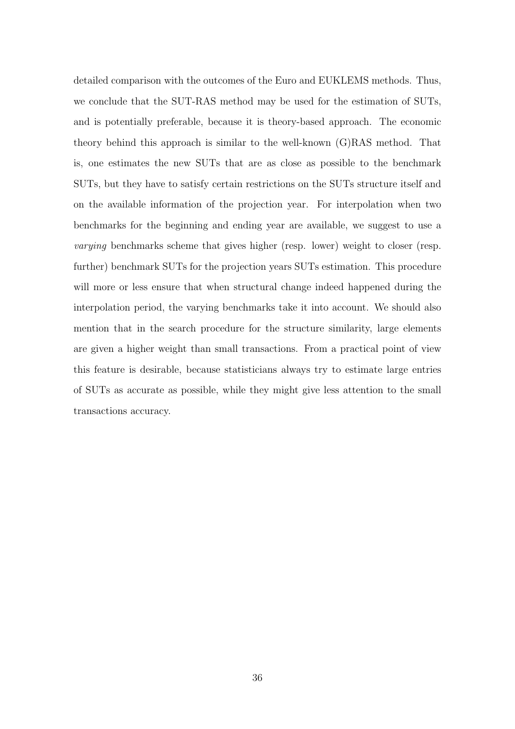detailed comparison with the outcomes of the Euro and EUKLEMS methods. Thus, we conclude that the SUT-RAS method may be used for the estimation of SUTs, and is potentially preferable, because it is theory-based approach. The economic theory behind this approach is similar to the well-known (G)RAS method. That is, one estimates the new SUTs that are as close as possible to the benchmark SUTs, but they have to satisfy certain restrictions on the SUTs structure itself and on the available information of the projection year. For interpolation when two benchmarks for the beginning and ending year are available, we suggest to use a varying benchmarks scheme that gives higher (resp. lower) weight to closer (resp. further) benchmark SUTs for the projection years SUTs estimation. This procedure will more or less ensure that when structural change indeed happened during the interpolation period, the varying benchmarks take it into account. We should also mention that in the search procedure for the structure similarity, large elements are given a higher weight than small transactions. From a practical point of view this feature is desirable, because statisticians always try to estimate large entries of SUTs as accurate as possible, while they might give less attention to the small transactions accuracy.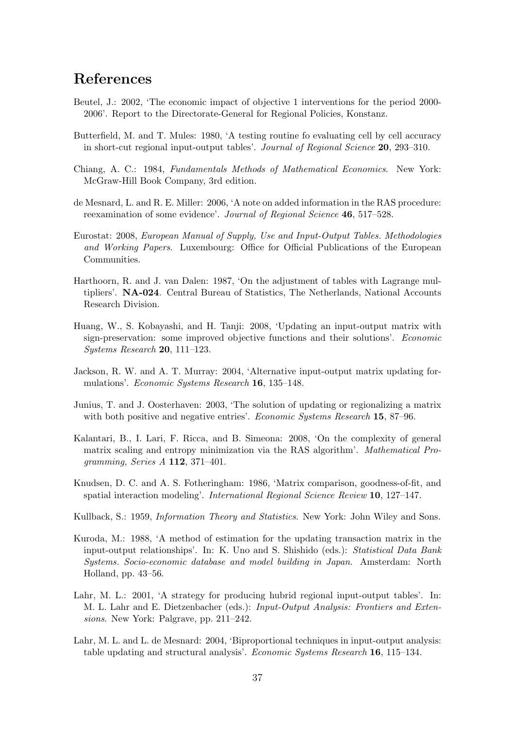## References

- Beutel, J.: 2002, 'The economic impact of objective 1 interventions for the period 2000- 2006'. Report to the Directorate-General for Regional Policies, Konstanz.
- Butterfield, M. and T. Mules: 1980, 'A testing routine fo evaluating cell by cell accuracy in short-cut regional input-output tables'. Journal of Regional Science 20, 293–310.
- Chiang, A. C.: 1984, Fundamentals Methods of Mathematical Economics. New York: McGraw-Hill Book Company, 3rd edition.
- de Mesnard, L. and R. E. Miller: 2006, 'A note on added information in the RAS procedure: reexamination of some evidence'. Journal of Regional Science 46, 517–528.
- Eurostat: 2008, European Manual of Supply, Use and Input-Output Tables. Methodologies and Working Papers. Luxembourg: Office for Official Publications of the European Communities.
- Harthoorn, R. and J. van Dalen: 1987, 'On the adjustment of tables with Lagrange multipliers'. NA-024. Central Bureau of Statistics, The Netherlands, National Accounts Research Division.
- Huang, W., S. Kobayashi, and H. Tanji: 2008, 'Updating an input-output matrix with sign-preservation: some improved objective functions and their solutions'. Economic Systems Research 20, 111–123.
- Jackson, R. W. and A. T. Murray: 2004, 'Alternative input-output matrix updating formulations'. Economic Systems Research 16, 135–148.
- Junius, T. and J. Oosterhaven: 2003, 'The solution of updating or regionalizing a matrix with both positive and negative entries'. Economic Systems Research 15, 87–96.
- Kalantari, B., I. Lari, F. Ricca, and B. Simeona: 2008, 'On the complexity of general matrix scaling and entropy minimization via the RAS algorithm'. Mathematical Programming, Series A 112, 371–401.
- Knudsen, D. C. and A. S. Fotheringham: 1986, 'Matrix comparison, goodness-of-fit, and spatial interaction modeling'. International Regional Science Review 10, 127–147.
- Kullback, S.: 1959, Information Theory and Statistics. New York: John Wiley and Sons.
- Kuroda, M.: 1988, 'A method of estimation for the updating transaction matrix in the input-output relationships'. In: K. Uno and S. Shishido (eds.): Statistical Data Bank Systems. Socio-economic database and model building in Japan. Amsterdam: North Holland, pp. 43–56.
- Lahr, M. L.: 2001, 'A strategy for producing hubrid regional input-output tables'. In: M. L. Lahr and E. Dietzenbacher (eds.): Input-Output Analysis: Frontiers and Extensions. New York: Palgrave, pp. 211–242.
- Lahr, M. L. and L. de Mesnard: 2004, 'Biproportional techniques in input-output analysis: table updating and structural analysis'. Economic Systems Research 16, 115–134.